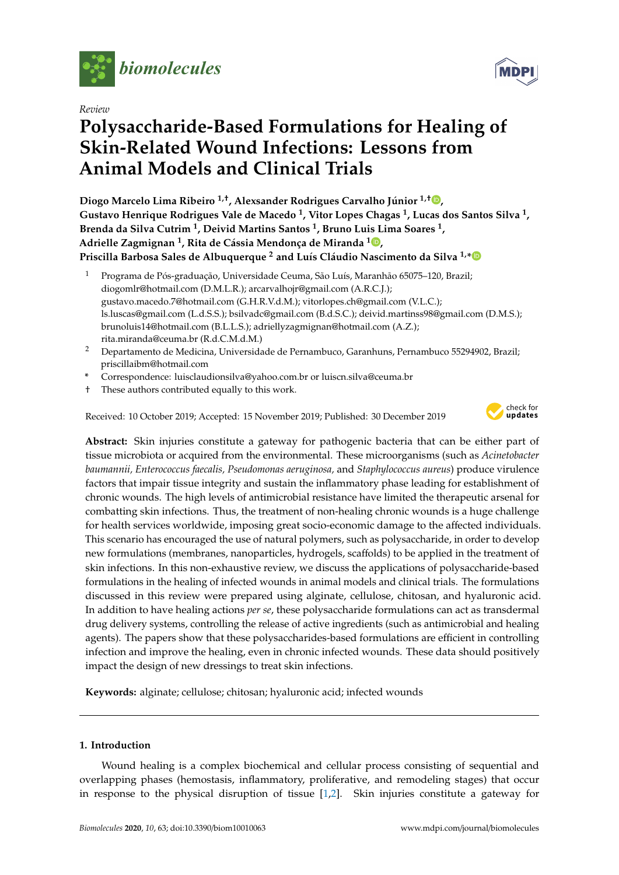

*Review*

# **Polysaccharide-Based Formulations for Healing of Skin-Related Wound Infections: Lessons from Animal Models and Clinical Trials**

**Diogo Marcelo Lima Ribeiro 1,**† **, Alexsander Rodrigues Carvalho Júnior 1,**† **[,](https://orcid.org/0000-0002-5535-3036) Gustavo Henrique Rodrigues Vale de Macedo <sup>1</sup> , Vitor Lopes Chagas <sup>1</sup> , Lucas dos Santos Silva <sup>1</sup> , Brenda da Silva Cutrim <sup>1</sup> , Deivid Martins Santos <sup>1</sup> , Bruno Luis Lima Soares <sup>1</sup> , Adrielle Zagmignan <sup>1</sup> , Rita de Cássia Mendonça de Miranda <sup>1</sup> [,](https://orcid.org/0000-0003-2116-1797) Priscilla Barbosa Sales de Albuquerque <sup>2</sup> and Luís Cláudio Nascimento da Silva 1,[\\*](https://orcid.org/0000-0002-4206-0904)**

- <sup>1</sup> Programa de Pós-graduação, Universidade Ceuma, São Luís, Maranhão 65075–120, Brazil; diogomlr@hotmail.com (D.M.L.R.); arcarvalhojr@gmail.com (A.R.C.J.); gustavo.macedo.7@hotmail.com (G.H.R.V.d.M.); vitorlopes.ch@gmail.com (V.L.C.); ls.luscas@gmail.com (L.d.S.S.); bsilvadc@gmail.com (B.d.S.C.); deivid.martinss98@gmail.com (D.M.S.); brunoluis14@hotmail.com (B.L.L.S.); adriellyzagmignan@hotmail.com (A.Z.); rita.miranda@ceuma.br (R.d.C.M.d.M.)
- <sup>2</sup> Departamento de Medicina, Universidade de Pernambuco, Garanhuns, Pernambuco 55294902, Brazil; priscillaibm@hotmail.com
- **\*** Correspondence: luisclaudionsilva@yahoo.com.br or luiscn.silva@ceuma.br
- † These authors contributed equally to this work.

Received: 10 October 2019; Accepted: 15 November 2019; Published: 30 December 2019



**Abstract:** Skin injuries constitute a gateway for pathogenic bacteria that can be either part of tissue microbiota or acquired from the environmental. These microorganisms (such as *Acinetobacter baumannii, Enterococcus faecalis, Pseudomonas aeruginosa,* and *Staphylococcus aureus*) produce virulence factors that impair tissue integrity and sustain the inflammatory phase leading for establishment of chronic wounds. The high levels of antimicrobial resistance have limited the therapeutic arsenal for combatting skin infections. Thus, the treatment of non-healing chronic wounds is a huge challenge for health services worldwide, imposing great socio-economic damage to the affected individuals. This scenario has encouraged the use of natural polymers, such as polysaccharide, in order to develop new formulations (membranes, nanoparticles, hydrogels, scaffolds) to be applied in the treatment of skin infections. In this non-exhaustive review, we discuss the applications of polysaccharide-based formulations in the healing of infected wounds in animal models and clinical trials. The formulations discussed in this review were prepared using alginate, cellulose, chitosan, and hyaluronic acid. In addition to have healing actions *per se*, these polysaccharide formulations can act as transdermal drug delivery systems, controlling the release of active ingredients (such as antimicrobial and healing agents). The papers show that these polysaccharides-based formulations are efficient in controlling infection and improve the healing, even in chronic infected wounds. These data should positively impact the design of new dressings to treat skin infections.

**Keywords:** alginate; cellulose; chitosan; hyaluronic acid; infected wounds

## **1. Introduction**

Wound healing is a complex biochemical and cellular process consisting of sequential and overlapping phases (hemostasis, inflammatory, proliferative, and remodeling stages) that occur in response to the physical disruption of tissue [\[1,](#page-10-0)[2\]](#page-10-1). Skin injuries constitute a gateway for

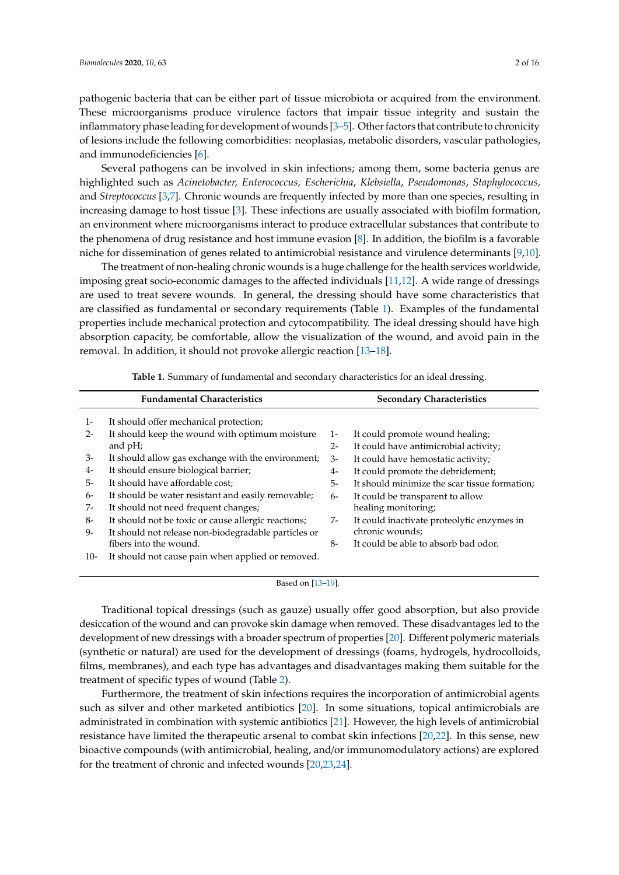pathogenic bacteria that can be either part of tissue microbiota or acquired from the environment. These microorganisms produce virulence factors that impair tissue integrity and sustain the inflammatory phase leading for development of wounds [\[3–](#page-10-2)[5\]](#page-10-3). Other factors that contribute to chronicity of lesions include the following comorbidities: neoplasias, metabolic disorders, vascular pathologies, and immunodeficiencies [\[6\]](#page-10-4).

Several pathogens can be involved in skin infections; among them, some bacteria genus are highlighted such as *Acinetobacter, Enterococcus, Escherichia*, *Klebsiella*, *Pseudomonas*, *Staphylococcus,* and *Streptococcus* [\[3,](#page-10-2)[7\]](#page-10-5). Chronic wounds are frequently infected by more than one species, resulting in increasing damage to host tissue [\[3\]](#page-10-2). These infections are usually associated with biofilm formation, an environment where microorganisms interact to produce extracellular substances that contribute to the phenomena of drug resistance and host immune evasion [\[8\]](#page-10-6). In addition, the biofilm is a favorable niche for dissemination of genes related to antimicrobial resistance and virulence determinants [\[9](#page-10-7)[,10\]](#page-10-8).

The treatment of non-healing chronic wounds is a huge challenge for the health services worldwide, imposing great socio-economic damages to the affected individuals [\[11,](#page-10-9)[12\]](#page-10-10). A wide range of dressings are used to treat severe wounds. In general, the dressing should have some characteristics that are classified as fundamental or secondary requirements (Table [1\)](#page-1-0). Examples of the fundamental properties include mechanical protection and cytocompatibility. The ideal dressing should have high absorption capacity, be comfortable, allow the visualization of the wound, and avoid pain in the removal. In addition, it should not provoke allergic reaction [\[13](#page-10-11)[–18\]](#page-10-12).

**Table 1.** Summary of fundamental and secondary characteristics for an ideal dressing.

<span id="page-1-0"></span>

| <b>Fundamental Characteristics</b> |                                                      |       | <b>Secondary Characteristics</b>              |  |  |  |
|------------------------------------|------------------------------------------------------|-------|-----------------------------------------------|--|--|--|
| $1-$                               | It should offer mechanical protection;               |       |                                               |  |  |  |
| $2 -$                              | It should keep the wound with optimum moisture       | $1 -$ | It could promote wound healing;               |  |  |  |
|                                    | and $pH$ ;                                           | $2 -$ | It could have antimicrobial activity;         |  |  |  |
| $3-$                               | It should allow gas exchange with the environment;   | 3-    | It could have hemostatic activity;            |  |  |  |
| $4-$                               | It should ensure biological barrier;                 | $4-$  | It could promote the debridement;             |  |  |  |
| $5-$                               | It should have affordable cost;                      | $5-$  | It should minimize the scar tissue formation; |  |  |  |
| 6-                                 | It should be water resistant and easily removable;   | 6-    | It could be transparent to allow              |  |  |  |
| $7-$                               | It should not need frequent changes;                 |       | healing monitoring;                           |  |  |  |
| $8-$                               | It should not be toxic or cause allergic reactions;  | 7-    | It could inactivate proteolytic enzymes in    |  |  |  |
| 9-                                 | It should not release non-biodegradable particles or |       | chronic wounds;                               |  |  |  |
|                                    | fibers into the wound.                               | $8-$  | It could be able to absorb bad odor.          |  |  |  |
| $10-$                              | It should not cause pain when applied or removed.    |       |                                               |  |  |  |

Based on [\[13](#page-10-11)[–19\]](#page-10-13).

Traditional topical dressings (such as gauze) usually offer good absorption, but also provide desiccation of the wound and can provoke skin damage when removed. These disadvantages led to the development of new dressings with a broader spectrum of properties [\[20\]](#page-10-14). Different polymeric materials (synthetic or natural) are used for the development of dressings (foams, hydrogels, hydrocolloids, films, membranes), and each type has advantages and disadvantages making them suitable for the treatment of specific types of wound (Table [2\)](#page-2-0).

Furthermore, the treatment of skin infections requires the incorporation of antimicrobial agents such as silver and other marketed antibiotics [\[20\]](#page-10-14). In some situations, topical antimicrobials are administrated in combination with systemic antibiotics [\[21\]](#page-10-15). However, the high levels of antimicrobial resistance have limited the therapeutic arsenal to combat skin infections [\[20,](#page-10-14)[22\]](#page-10-16). In this sense, new bioactive compounds (with antimicrobial, healing, and/or immunomodulatory actions) are explored for the treatment of chronic and infected wounds [\[20,](#page-10-14)[23,](#page-11-0)[24\]](#page-11-1).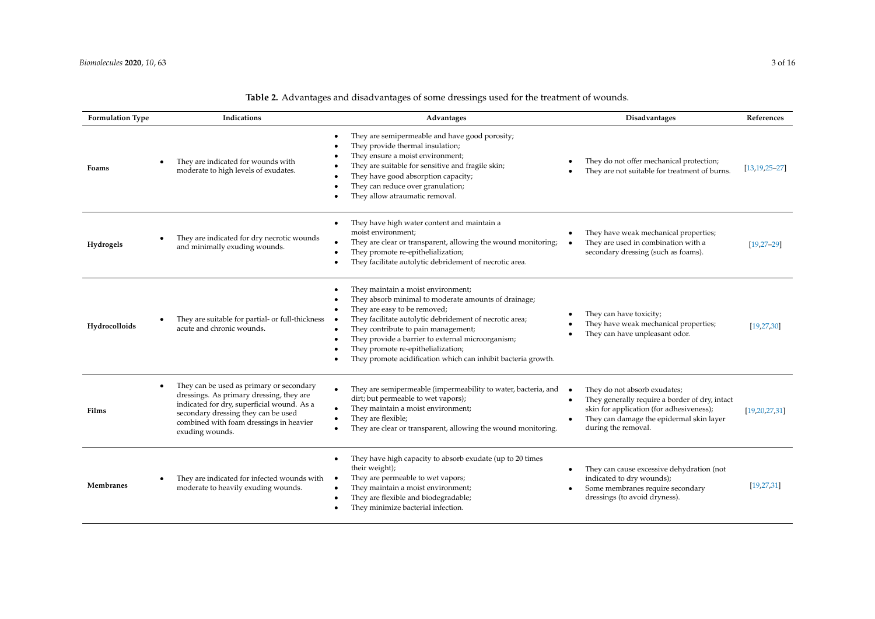<span id="page-2-0"></span>

| <b>Formulation Type</b> | Indications                                                                                                                                                                                                                                          | Advantages                                                                                                                                                                                                                                                                                                                                                                               | Disadvantages                                                                                                                                                                                 | References          |
|-------------------------|------------------------------------------------------------------------------------------------------------------------------------------------------------------------------------------------------------------------------------------------------|------------------------------------------------------------------------------------------------------------------------------------------------------------------------------------------------------------------------------------------------------------------------------------------------------------------------------------------------------------------------------------------|-----------------------------------------------------------------------------------------------------------------------------------------------------------------------------------------------|---------------------|
| Foams                   | They are indicated for wounds with<br>moderate to high levels of exudates.                                                                                                                                                                           | They are semipermeable and have good porosity;<br>They provide thermal insulation;<br>They ensure a moist environment;<br>They are suitable for sensitive and fragile skin;<br>They have good absorption capacity;<br>They can reduce over granulation;<br>They allow atraumatic removal.                                                                                                | They do not offer mechanical protection;<br>They are not suitable for treatment of burns.                                                                                                     | $[13, 19, 25 - 27]$ |
| Hydrogels               | They are indicated for dry necrotic wounds<br>and minimally exuding wounds.                                                                                                                                                                          | They have high water content and maintain a<br>moist environment;<br>They are clear or transparent, allowing the wound monitoring;<br>They promote re-epithelialization;<br>They facilitate autolytic debridement of necrotic area.                                                                                                                                                      | They have weak mechanical properties;<br>$\bullet$<br>They are used in combination with a<br>secondary dressing (such as foams).                                                              | $[19, 27 - 29]$     |
| Hydrocolloids           | They are suitable for partial- or full-thickness<br>acute and chronic wounds.                                                                                                                                                                        | They maintain a moist environment;<br>They absorb minimal to moderate amounts of drainage;<br>They are easy to be removed;<br>They facilitate autolytic debridement of necrotic area;<br>They contribute to pain management;<br>They provide a barrier to external microorganism;<br>They promote re-epithelialization;<br>They promote acidification which can inhibit bacteria growth. | They can have toxicity;<br>They have weak mechanical properties;<br>They can have unpleasant odor.                                                                                            | [19, 27, 30]        |
| Films                   | They can be used as primary or secondary<br>$\bullet$<br>dressings. As primary dressing, they are<br>indicated for dry, superficial wound. As a<br>secondary dressing they can be used<br>combined with foam dressings in heavier<br>exuding wounds. | They are semipermeable (impermeability to water, bacteria, and<br>dirt; but permeable to wet vapors);<br>They maintain a moist environment;<br>They are flexible;<br>They are clear or transparent, allowing the wound monitoring.                                                                                                                                                       | They do not absorb exudates;<br>They generally require a border of dry, intact<br>skin for application (for adhesiveness);<br>They can damage the epidermal skin layer<br>during the removal. | [19, 20, 27, 31]    |
| <b>Membranes</b>        | They are indicated for infected wounds with<br>moderate to heavily exuding wounds.                                                                                                                                                                   | They have high capacity to absorb exudate (up to 20 times<br>their weight);<br>They are permeable to wet vapors;<br>They maintain a moist environment;<br>They are flexible and biodegradable;<br>They minimize bacterial infection.                                                                                                                                                     | They can cause excessive dehydration (not<br>indicated to dry wounds);<br>Some membranes require secondary<br>dressings (to avoid dryness).                                                   | [19, 27, 31]        |

# **Table 2.** Advantages and disadvantages of some dressings used for the treatment of wounds.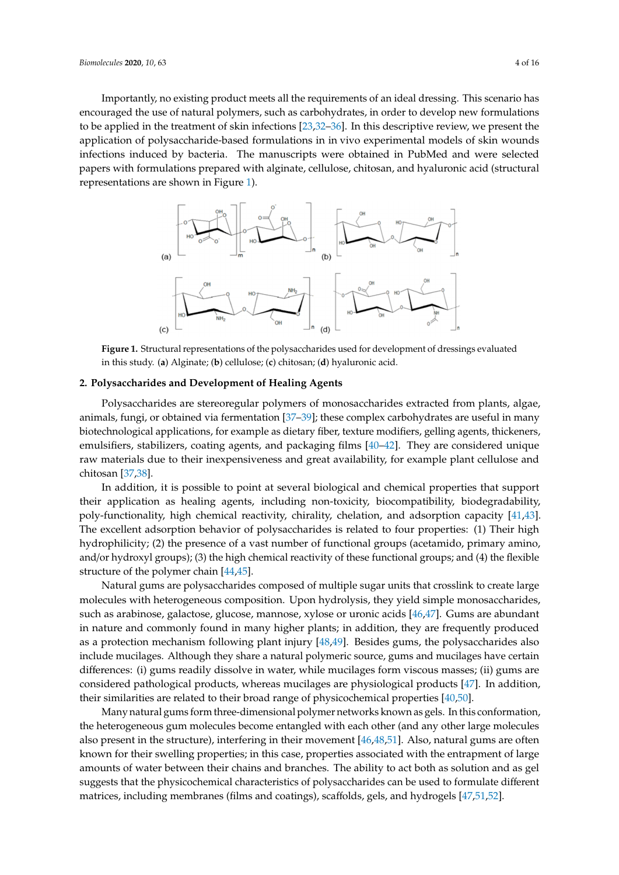Importantly, no existing product meets all the requirements of an ideal dressing. This scenario has encouraged the use of natural polymers, such as carbohydrates, in order to develop new formulations to be applied in the treatment of skin infections [\[23](#page-11-0)[,32](#page-11-7)[–36\]](#page-11-8). In this descriptive review, we present the application of polysaccharide-based formulations in in vivo experimental models of skin wounds infections induced by bacteria. The manuscripts were obtained in PubMed and were selected papers with formulations prepared with alginate, cellulose, chitosan, and hyaluronic acid (structural representations are shown in Figure [1\)](#page-3-0).

<span id="page-3-0"></span>

**Figure 1.** Structural representations of the polysaccharides used for development of dressings evaluated in this study. (**a**) Alginate; (**b**) cellulose; (**c**) chitosan; (**d**) hyaluronic acid.

#### **2. Polysaccharides and Development of Healing Agents**

Polysaccharides are stereoregular polymers of monosaccharides extracted from plants, algae, animals, fungi, or obtained via fermentation [\[37–](#page-11-9)[39\]](#page-11-10); these complex carbohydrates are useful in many biotechnological applications, for example as dietary fiber, texture modifiers, gelling agents, thickeners, emulsifiers, stabilizers, coating agents, and packaging films [\[40–](#page-11-11)[42\]](#page-11-12). They are considered unique raw materials due to their inexpensiveness and great availability, for example plant cellulose and chitosan [\[37,](#page-11-9)[38\]](#page-11-13).

In addition, it is possible to point at several biological and chemical properties that support their application as healing agents, including non-toxicity, biocompatibility, biodegradability, poly-functionality, high chemical reactivity, chirality, chelation, and adsorption capacity [\[41,](#page-11-14)[43\]](#page-11-15). The excellent adsorption behavior of polysaccharides is related to four properties: (1) Their high hydrophilicity; (2) the presence of a vast number of functional groups (acetamido, primary amino, and/or hydroxyl groups); (3) the high chemical reactivity of these functional groups; and (4) the flexible structure of the polymer chain [\[44,](#page-11-16)[45\]](#page-12-0).

Natural gums are polysaccharides composed of multiple sugar units that crosslink to create large molecules with heterogeneous composition. Upon hydrolysis, they yield simple monosaccharides, such as arabinose, galactose, glucose, mannose, xylose or uronic acids [\[46,](#page-12-1)[47\]](#page-12-2). Gums are abundant in nature and commonly found in many higher plants; in addition, they are frequently produced as a protection mechanism following plant injury [\[48,](#page-12-3)[49\]](#page-12-4). Besides gums, the polysaccharides also include mucilages. Although they share a natural polymeric source, gums and mucilages have certain differences: (i) gums readily dissolve in water, while mucilages form viscous masses; (ii) gums are considered pathological products, whereas mucilages are physiological products [\[47\]](#page-12-2). In addition, their similarities are related to their broad range of physicochemical properties [\[40](#page-11-11)[,50\]](#page-12-5).

Many natural gums form three-dimensional polymer networks known as gels. In this conformation, the heterogeneous gum molecules become entangled with each other (and any other large molecules also present in the structure), interfering in their movement [\[46](#page-12-1)[,48](#page-12-3)[,51\]](#page-12-6). Also, natural gums are often known for their swelling properties; in this case, properties associated with the entrapment of large amounts of water between their chains and branches. The ability to act both as solution and as gel suggests that the physicochemical characteristics of polysaccharides can be used to formulate different matrices, including membranes (films and coatings), scaffolds, gels, and hydrogels [\[47,](#page-12-2)[51,](#page-12-6)[52\]](#page-12-7).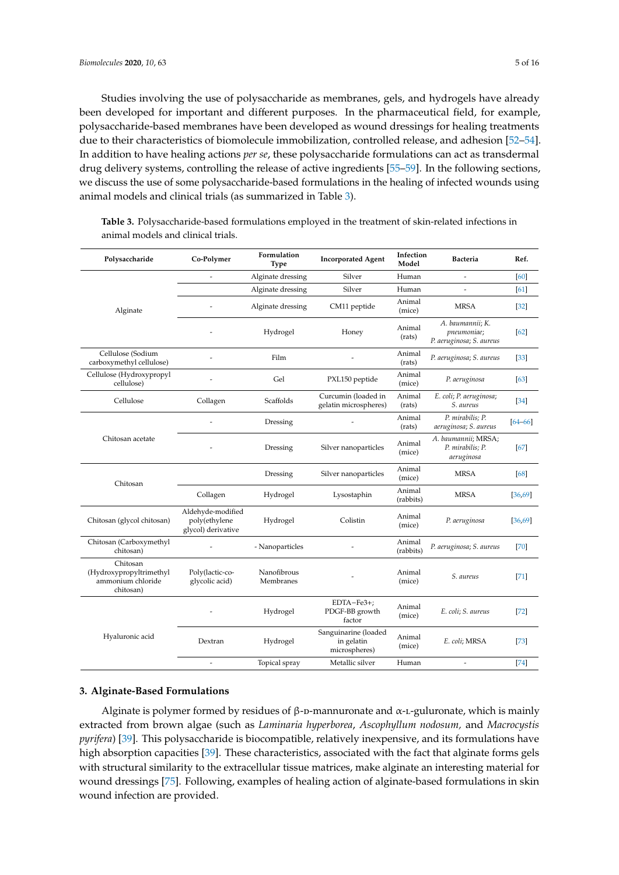Studies involving the use of polysaccharide as membranes, gels, and hydrogels have already been developed for important and different purposes. In the pharmaceutical field, for example, polysaccharide-based membranes have been developed as wound dressings for healing treatments due to their characteristics of biomolecule immobilization, controlled release, and adhesion [\[52–](#page-12-7)[54\]](#page-12-8). In addition to have healing actions *per se*, these polysaccharide formulations can act as transdermal drug delivery systems, controlling the release of active ingredients [\[55–](#page-12-9)[59\]](#page-12-10). In the following sections, we discuss the use of some polysaccharide-based formulations in the healing of infected wounds using animal models and clinical trials (as summarized in Table [3\)](#page-4-0).

| Polysaccharide                                                        | Co-Polymer                                               | Formulation<br><b>Type</b> | <b>Incorporated Agent</b>                           | Infection<br>Model  | <b>Bacteria</b>                                             | Ref.        |
|-----------------------------------------------------------------------|----------------------------------------------------------|----------------------------|-----------------------------------------------------|---------------------|-------------------------------------------------------------|-------------|
|                                                                       | $\overline{a}$                                           | Alginate dressing          | Silver                                              | Human               | $\overline{a}$                                              | [60]        |
|                                                                       |                                                          | Alginate dressing          | Silver                                              | Human               | $\overline{a}$                                              | [61]        |
| Alginate                                                              |                                                          | Alginate dressing          | CM11 peptide                                        | Animal<br>(mice)    | <b>MRSA</b>                                                 | $[32]$      |
|                                                                       |                                                          | Hydrogel                   | Honey                                               | Animal<br>(rats)    | A. baumannii; K.<br>pneumoniae;<br>P. aeruginosa; S. aureus | [62]        |
| Cellulose (Sodium<br>carboxymethyl cellulose)                         |                                                          | Film                       |                                                     | Animal<br>(rats)    | P. aeruginosa; S. aureus                                    | $[33]$      |
| Cellulose (Hydroxypropyl<br>cellulose)                                |                                                          | Gel                        | PXL150 peptide                                      | Animal<br>(mice)    | P. aeruginosa                                               | [63]        |
| Cellulose                                                             | Collagen                                                 | Scaffolds                  | Curcumin (loaded in<br>gelatin microspheres)        | Animal<br>(rats)    | E. coli; P. aeruginosa;<br>S. aureus                        | [34]        |
|                                                                       |                                                          | Dressing                   |                                                     | Animal<br>(rats)    | P. mirabilis; P.<br>aeruginosa; S. aureus                   | $[64 - 66]$ |
| Chitosan acetate                                                      |                                                          | Dressing                   | Silver nanoparticles                                | Animal<br>(mice)    | A. baumannii; MRSA;<br>P. mirabilis; P.<br>aeruginosa       | $[67]$      |
| Chitosan                                                              |                                                          | Dressing                   | Silver nanoparticles                                | Animal<br>(mice)    | <b>MRSA</b>                                                 | [68]        |
|                                                                       | Collagen                                                 | Hydrogel                   | Lysostaphin                                         | Animal<br>(rabbits) | <b>MRSA</b>                                                 | [36, 69]    |
| Chitosan (glycol chitosan)                                            | Aldehyde-modified<br>poly(ethylene<br>glycol) derivative | Hydrogel                   | Colistin                                            | Animal<br>(mice)    | P. aeruginosa                                               | [36, 69]    |
| Chitosan (Carboxymethyl<br>chitosan)                                  |                                                          | - Nanoparticles            |                                                     | Animal<br>(rabbits) | P. aeruginosa; S. aureus                                    | $[70]$      |
| Chitosan<br>(Hydroxypropyltrimethyl<br>ammonium chloride<br>chitosan) | Poly(lactic-co-<br>glycolic acid)                        | Nanofibrous<br>Membranes   |                                                     | Animal<br>(mice)    | S. aureus                                                   | $[71]$      |
|                                                                       |                                                          | Hydrogel                   | EDTA-Fe3+;<br>PDGF-BB growth<br>factor              | Animal<br>(mice)    | E. coli; S. aureus                                          | $[72]$      |
| Hyaluronic acid                                                       | Dextran                                                  | Hydrogel                   | Sanguinarine (loaded<br>in gelatin<br>microspheres) | Animal<br>(mice)    | E. coli; MRSA                                               | $[73]$      |
|                                                                       | $\overline{a}$                                           | Topical spray              | Metallic silver                                     | Human               |                                                             | $[74]$      |

<span id="page-4-0"></span>**Table 3.** Polysaccharide-based formulations employed in the treatment of skin-related infections in animal models and clinical trials.

## **3. Alginate-Based Formulations**

Alginate is polymer formed by residues of β-p-mannuronate and  $α$ -L-guluronate, which is mainly extracted from brown algae (such as *Laminaria hyperborea*, *Ascophyllum nodosum,* and *Macrocystis pyrifera*) [\[39\]](#page-11-10). This polysaccharide is biocompatible, relatively inexpensive, and its formulations have high absorption capacities [\[39\]](#page-11-10). These characteristics, associated with the fact that alginate forms gels with structural similarity to the extracellular tissue matrices, make alginate an interesting material for wound dressings [\[75\]](#page-13-9). Following, examples of healing action of alginate-based formulations in skin wound infection are provided.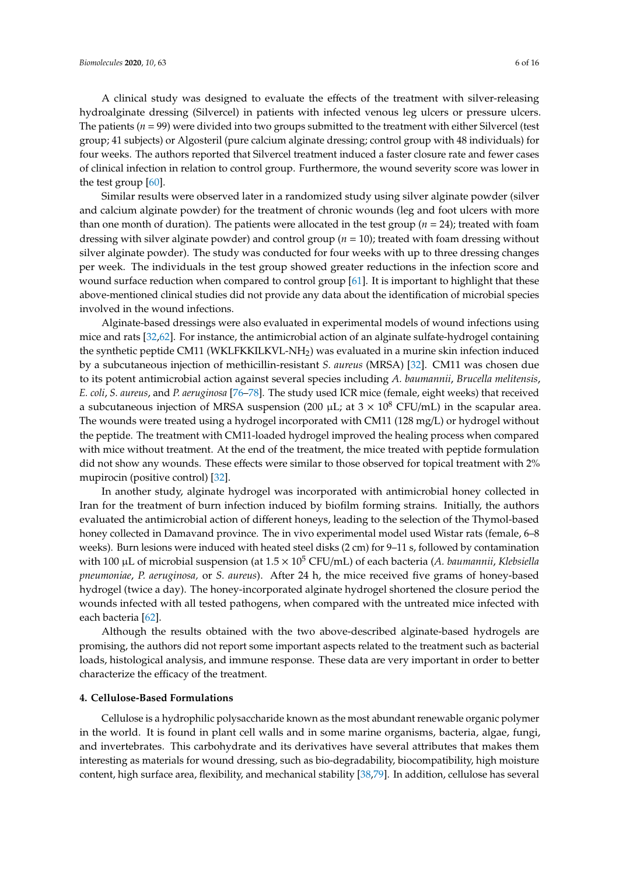A clinical study was designed to evaluate the effects of the treatment with silver-releasing hydroalginate dressing (Silvercel) in patients with infected venous leg ulcers or pressure ulcers. The patients (*n* = 99) were divided into two groups submitted to the treatment with either Silvercel (test group; 41 subjects) or Algosteril (pure calcium alginate dressing; control group with 48 individuals) for four weeks. The authors reported that Silvercel treatment induced a faster closure rate and fewer cases of clinical infection in relation to control group. Furthermore, the wound severity score was lower in the test group [\[60\]](#page-12-11).

Similar results were observed later in a randomized study using silver alginate powder (silver and calcium alginate powder) for the treatment of chronic wounds (leg and foot ulcers with more than one month of duration). The patients were allocated in the test group  $(n = 24)$ ; treated with foam dressing with silver alginate powder) and control group (*n* = 10); treated with foam dressing without silver alginate powder). The study was conducted for four weeks with up to three dressing changes per week. The individuals in the test group showed greater reductions in the infection score and wound surface reduction when compared to control group [\[61\]](#page-12-12). It is important to highlight that these above-mentioned clinical studies did not provide any data about the identification of microbial species involved in the wound infections.

Alginate-based dressings were also evaluated in experimental models of wound infections using mice and rats [\[32](#page-11-7)[,62\]](#page-12-13). For instance, the antimicrobial action of an alginate sulfate-hydrogel containing the synthetic peptide CM11 (WKLFKKILKVL-NH<sub>2</sub>) was evaluated in a murine skin infection induced by a subcutaneous injection of methicillin-resistant *S. aureus* (MRSA) [\[32\]](#page-11-7). CM11 was chosen due to its potent antimicrobial action against several species including *A. baumannii*, *Brucella melitensis*, *E. coli*, *S. aureus*, and *P. aeruginosa* [\[76](#page-13-10)[–78\]](#page-13-11). The study used ICR mice (female, eight weeks) that received a subcutaneous injection of MRSA suspension (200  $\mu$ L; at  $3 \times 10^8$  CFU/mL) in the scapular area. The wounds were treated using a hydrogel incorporated with CM11 (128 mg/L) or hydrogel without the peptide. The treatment with CM11-loaded hydrogel improved the healing process when compared with mice without treatment. At the end of the treatment, the mice treated with peptide formulation did not show any wounds. These effects were similar to those observed for topical treatment with 2% mupirocin (positive control) [\[32\]](#page-11-7).

In another study, alginate hydrogel was incorporated with antimicrobial honey collected in Iran for the treatment of burn infection induced by biofilm forming strains. Initially, the authors evaluated the antimicrobial action of different honeys, leading to the selection of the Thymol-based honey collected in Damavand province. The in vivo experimental model used Wistar rats (female,  $6-8$ weeks). Burn lesions were induced with heated steel disks (2 cm) for 9–11 s, followed by contamination with 100 µL of microbial suspension (at 1.5 × 10<sup>5</sup> CFU/mL) of each bacteria (*A. baumannii*, *Klebsiella pneumoniae*, *P. aeruginosa,* or *S. aureus*). After 24 h, the mice received five grams of honey-based hydrogel (twice a day). The honey-incorporated alginate hydrogel shortened the closure period the wounds infected with all tested pathogens, when compared with the untreated mice infected with each bacteria [\[62\]](#page-12-13).

Although the results obtained with the two above-described alginate-based hydrogels are promising, the authors did not report some important aspects related to the treatment such as bacterial loads, histological analysis, and immune response. These data are very important in order to better characterize the efficacy of the treatment.

## **4. Cellulose-Based Formulations**

Cellulose is a hydrophilic polysaccharide known as the most abundant renewable organic polymer in the world. It is found in plant cell walls and in some marine organisms, bacteria, algae, fungi, and invertebrates. This carbohydrate and its derivatives have several attributes that makes them interesting as materials for wound dressing, such as bio-degradability, biocompatibility, high moisture content, high surface area, flexibility, and mechanical stability [\[38](#page-11-13)[,79\]](#page-13-12). In addition, cellulose has several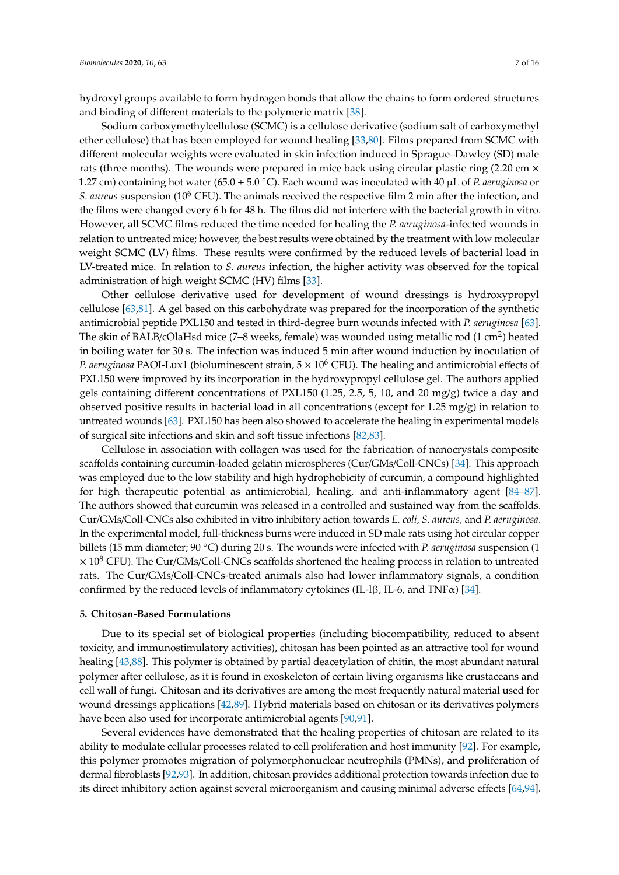hydroxyl groups available to form hydrogen bonds that allow the chains to form ordered structures and binding of different materials to the polymeric matrix [\[38\]](#page-11-13).

Sodium carboxymethylcellulose (SCMC) is a cellulose derivative (sodium salt of carboxymethyl ether cellulose) that has been employed for wound healing [\[33,](#page-11-17)[80\]](#page-13-13). Films prepared from SCMC with different molecular weights were evaluated in skin infection induced in Sprague–Dawley (SD) male rats (three months). The wounds were prepared in mice back using circular plastic ring (2.20 cm  $\times$ 1.27 cm) containing hot water (65.0 ± 5.0 ◦C). Each wound was inoculated with 40 µL of *P. aeruginosa* or *S. aureus* suspension (10<sup>6</sup> CFU). The animals received the respective film 2 min after the infection, and the films were changed every 6 h for 48 h. The films did not interfere with the bacterial growth in vitro. However, all SCMC films reduced the time needed for healing the *P. aeruginosa*-infected wounds in relation to untreated mice; however, the best results were obtained by the treatment with low molecular weight SCMC (LV) films. These results were confirmed by the reduced levels of bacterial load in LV-treated mice. In relation to *S. aureus* infection, the higher activity was observed for the topical administration of high weight SCMC (HV) films [\[33\]](#page-11-17).

Other cellulose derivative used for development of wound dressings is hydroxypropyl cellulose [\[63,](#page-12-14)[81\]](#page-13-14). A gel based on this carbohydrate was prepared for the incorporation of the synthetic antimicrobial peptide PXL150 and tested in third-degree burn wounds infected with *P. aeruginosa* [\[63\]](#page-12-14). The skin of BALB/cOlaHsd mice (7–8 weeks, female) was wounded using metallic rod (1 cm<sup>2</sup>) heated in boiling water for 30 s. The infection was induced 5 min after wound induction by inoculation of *P. aeruginosa* PAOI-Lux1 (bioluminescent strain,  $5 \times 10^6$  CFU). The healing and antimicrobial effects of PXL150 were improved by its incorporation in the hydroxypropyl cellulose gel. The authors applied gels containing different concentrations of PXL150 (1.25, 2.5, 5, 10, and 20 mg/g) twice a day and observed positive results in bacterial load in all concentrations (except for 1.25 mg/g) in relation to untreated wounds [\[63\]](#page-12-14). PXL150 has been also showed to accelerate the healing in experimental models of surgical site infections and skin and soft tissue infections [\[82](#page-13-15)[,83\]](#page-14-0).

Cellulose in association with collagen was used for the fabrication of nanocrystals composite scaffolds containing curcumin-loaded gelatin microspheres (Cur/GMs/Coll-CNCs) [\[34\]](#page-11-18). This approach was employed due to the low stability and high hydrophobicity of curcumin, a compound highlighted for high therapeutic potential as antimicrobial, healing, and anti-inflammatory agent [\[84–](#page-14-1)[87\]](#page-14-2). The authors showed that curcumin was released in a controlled and sustained way from the scaffolds. Cur/GMs/Coll-CNCs also exhibited in vitro inhibitory action towards *E. coli*, *S. aureus,* and *P. aeruginosa*. In the experimental model, full-thickness burns were induced in SD male rats using hot circular copper billets (15 mm diameter; 90 ◦C) during 20 s. The wounds were infected with *P. aeruginosa* suspension (1  $\times$  10<sup>8</sup> CFU). The Cur/GMs/Coll-CNCs scaffolds shortened the healing process in relation to untreated rats. The Cur/GMs/Coll-CNCs-treated animals also had lower inflammatory signals, a condition confirmed by the reduced levels of inflammatory cytokines (IL-1β, IL-6, and TNFα) [\[34\]](#page-11-18).

#### **5. Chitosan-Based Formulations**

Due to its special set of biological properties (including biocompatibility, reduced to absent toxicity, and immunostimulatory activities), chitosan has been pointed as an attractive tool for wound healing [\[43](#page-11-15)[,88\]](#page-14-3). This polymer is obtained by partial deacetylation of chitin, the most abundant natural polymer after cellulose, as it is found in exoskeleton of certain living organisms like crustaceans and cell wall of fungi. Chitosan and its derivatives are among the most frequently natural material used for wound dressings applications [\[42,](#page-11-12)[89\]](#page-14-4). Hybrid materials based on chitosan or its derivatives polymers have been also used for incorporate antimicrobial agents [\[90,](#page-14-5)[91\]](#page-14-6).

Several evidences have demonstrated that the healing properties of chitosan are related to its ability to modulate cellular processes related to cell proliferation and host immunity [\[92\]](#page-14-7). For example, this polymer promotes migration of polymorphonuclear neutrophils (PMNs), and proliferation of dermal fibroblasts [\[92,](#page-14-7)[93\]](#page-14-8). In addition, chitosan provides additional protection towards infection due to its direct inhibitory action against several microorganism and causing minimal adverse effects [\[64](#page-12-15)[,94\]](#page-14-9).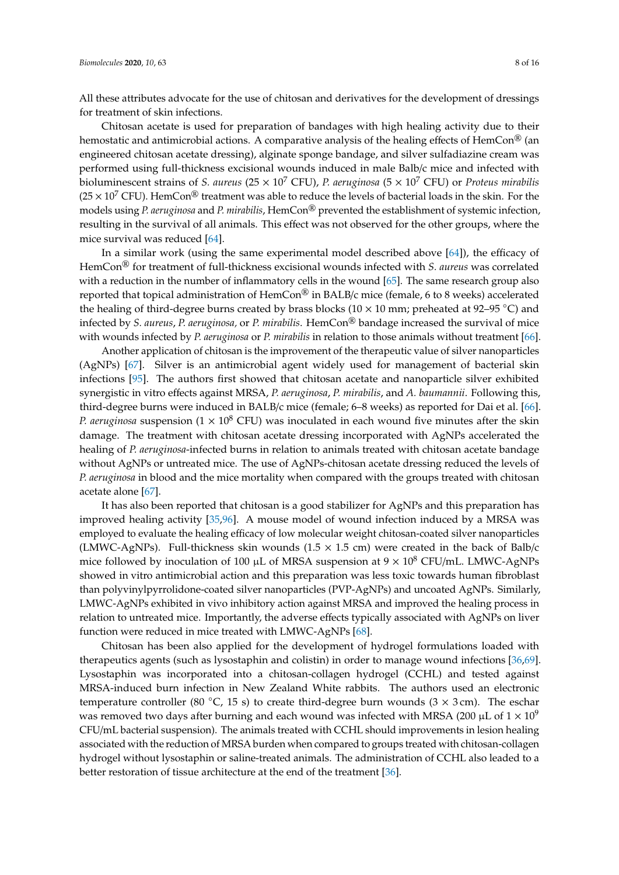All these attributes advocate for the use of chitosan and derivatives for the development of dressings for treatment of skin infections.

Chitosan acetate is used for preparation of bandages with high healing activity due to their hemostatic and antimicrobial actions. A comparative analysis of the healing effects of  $HemCon^{\textcircled{k}}$  (an engineered chitosan acetate dressing), alginate sponge bandage, and silver sulfadiazine cream was performed using full-thickness excisional wounds induced in male Balb/c mice and infected with bioluminescent strains of *S. aureus* (25 × 10<sup>7</sup> CFU), *P. aeruginosa* (5 × 10<sup>7</sup> CFU) or *Proteus mirabilis*  $(25 \times 10^7 \text{ CFU})$ . HemCon<sup>®</sup> treatment was able to reduce the levels of bacterial loads in the skin. For the models using *P. aeruginosa* and *P. mirabilis*, HemCon® prevented the establishment of systemic infection, resulting in the survival of all animals. This effect was not observed for the other groups, where the mice survival was reduced [\[64\]](#page-12-15).

In a similar work (using the same experimental model described above [\[64\]](#page-12-15)), the efficacy of HemCon® for treatment of full-thickness excisional wounds infected with *S. aureus* was correlated with a reduction in the number of inflammatory cells in the wound [\[65\]](#page-13-16). The same research group also reported that topical administration of  $HemCon^{\circledR}$  in BALB/c mice (female, 6 to 8 weeks) accelerated the healing of third-degree burns created by brass blocks ( $10 \times 10$  mm; preheated at 92–95 °C) and infected by *S. aureus*, *P. aeruginosa,* or *P. mirabilis*. HemCon® bandage increased the survival of mice with wounds infected by *P. aeruginosa* or *P. mirabilis* in relation to those animals without treatment [\[66\]](#page-13-0).

Another application of chitosan is the improvement of the therapeutic value of silver nanoparticles (AgNPs) [\[67\]](#page-13-1). Silver is an antimicrobial agent widely used for management of bacterial skin infections [\[95\]](#page-14-10). The authors first showed that chitosan acetate and nanoparticle silver exhibited synergistic in vitro effects against MRSA, *P. aeruginosa*, *P. mirabilis*, and *A. baumannii*. Following this, third-degree burns were induced in BALB/c mice (female; 6–8 weeks) as reported for Dai et al. [\[66\]](#page-13-0). *P. aeruginosa* suspension ( $1 \times 10^8$  CFU) was inoculated in each wound five minutes after the skin damage. The treatment with chitosan acetate dressing incorporated with AgNPs accelerated the healing of *P. aeruginosa*-infected burns in relation to animals treated with chitosan acetate bandage without AgNPs or untreated mice. The use of AgNPs-chitosan acetate dressing reduced the levels of *P. aeruginosa* in blood and the mice mortality when compared with the groups treated with chitosan acetate alone [\[67\]](#page-13-1).

It has also been reported that chitosan is a good stabilizer for AgNPs and this preparation has improved healing activity [\[35](#page-11-19)[,96\]](#page-14-11). A mouse model of wound infection induced by a MRSA was employed to evaluate the healing efficacy of low molecular weight chitosan-coated silver nanoparticles (LMWC-AgNPs). Full-thickness skin wounds  $(1.5 \times 1.5 \text{ cm})$  were created in the back of Balb/c mice followed by inoculation of 100  $\mu$ L of MRSA suspension at 9  $\times$  10<sup>8</sup> CFU/mL. LMWC-AgNPs showed in vitro antimicrobial action and this preparation was less toxic towards human fibroblast than polyvinylpyrrolidone-coated silver nanoparticles (PVP-AgNPs) and uncoated AgNPs. Similarly, LMWC-AgNPs exhibited in vivo inhibitory action against MRSA and improved the healing process in relation to untreated mice. Importantly, the adverse effects typically associated with AgNPs on liver function were reduced in mice treated with LMWC-AgNPs [\[68\]](#page-13-2).

Chitosan has been also applied for the development of hydrogel formulations loaded with therapeutics agents (such as lysostaphin and colistin) in order to manage wound infections [\[36,](#page-11-8)[69\]](#page-13-3). Lysostaphin was incorporated into a chitosan-collagen hydrogel (CCHL) and tested against MRSA-induced burn infection in New Zealand White rabbits. The authors used an electronic temperature controller (80 °C, 15 s) to create third-degree burn wounds ( $3 \times 3$  cm). The eschar was removed two days after burning and each wound was infected with MRSA (200  $\mu$ L of 1 × 10<sup>9</sup>) CFU/mL bacterial suspension). The animals treated with CCHL should improvements in lesion healing associated with the reduction of MRSA burden when compared to groups treated with chitosan-collagen hydrogel without lysostaphin or saline-treated animals. The administration of CCHL also leaded to a better restoration of tissue architecture at the end of the treatment [\[36\]](#page-11-8).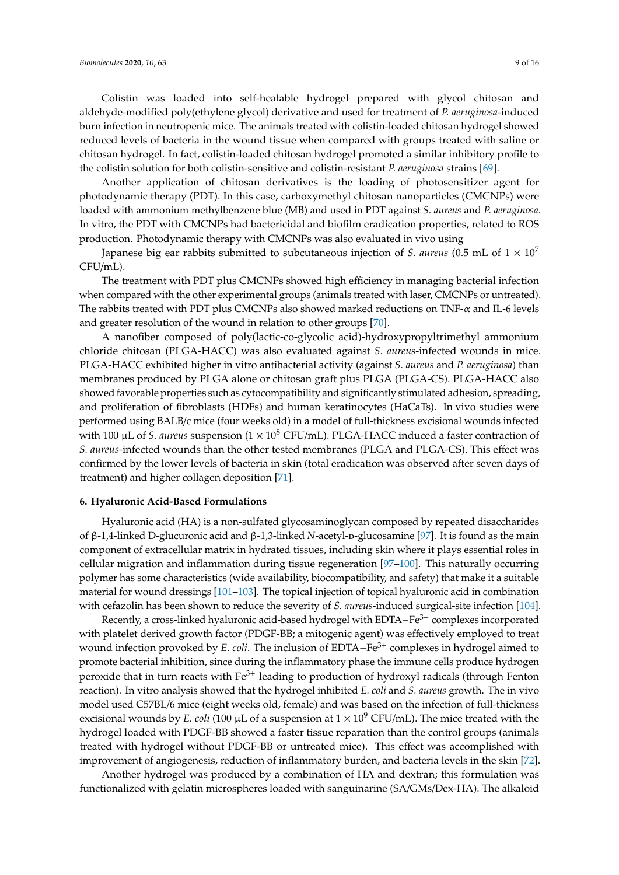Colistin was loaded into self-healable hydrogel prepared with glycol chitosan and aldehyde-modified poly(ethylene glycol) derivative and used for treatment of *P. aeruginosa*-induced burn infection in neutropenic mice. The animals treated with colistin-loaded chitosan hydrogel showed reduced levels of bacteria in the wound tissue when compared with groups treated with saline or chitosan hydrogel. In fact, colistin-loaded chitosan hydrogel promoted a similar inhibitory profile to the colistin solution for both colistin-sensitive and colistin-resistant *P. aeruginosa* strains [\[69\]](#page-13-3).

Another application of chitosan derivatives is the loading of photosensitizer agent for photodynamic therapy (PDT). In this case, carboxymethyl chitosan nanoparticles (CMCNPs) were loaded with ammonium methylbenzene blue (MB) and used in PDT against *S. aureus* and *P. aeruginosa*. In vitro, the PDT with CMCNPs had bactericidal and biofilm eradication properties, related to ROS production. Photodynamic therapy with CMCNPs was also evaluated in vivo using

Japanese big ear rabbits submitted to subcutaneous injection of *S. aureus* (0.5 mL of  $1 \times 10^{7}$ ) CFU/mL).

The treatment with PDT plus CMCNPs showed high efficiency in managing bacterial infection when compared with the other experimental groups (animals treated with laser, CMCNPs or untreated). The rabbits treated with PDT plus CMCNPs also showed marked reductions on TNF- $\alpha$  and IL-6 levels and greater resolution of the wound in relation to other groups [\[70\]](#page-13-4).

A nanofiber composed of poly(lactic-co-glycolic acid)-hydroxypropyltrimethyl ammonium chloride chitosan (PLGA-HACC) was also evaluated against *S. aureus*-infected wounds in mice. PLGA-HACC exhibited higher in vitro antibacterial activity (against *S. aureus* and *P. aeruginosa*) than membranes produced by PLGA alone or chitosan graft plus PLGA (PLGA-CS). PLGA-HACC also showed favorable properties such as cytocompatibility and significantly stimulated adhesion, spreading, and proliferation of fibroblasts (HDFs) and human keratinocytes (HaCaTs). In vivo studies were performed using BALB/c mice (four weeks old) in a model of full-thickness excisional wounds infected with 100  $\mu$ L of *S. aureus* suspension ( $1 \times 10^8$  CFU/mL). PLGA-HACC induced a faster contraction of *S. aureus*-infected wounds than the other tested membranes (PLGA and PLGA-CS). This effect was confirmed by the lower levels of bacteria in skin (total eradication was observed after seven days of treatment) and higher collagen deposition [\[71\]](#page-13-5).

#### **6. Hyaluronic Acid-Based Formulations**

Hyaluronic acid (HA) is a non-sulfated glycosaminoglycan composed by repeated disaccharides of β-1,4-linked D-glucuronic acid and β-1,3-linked *N*-acetyl-d-glucosamine [\[97\]](#page-14-12). It is found as the main component of extracellular matrix in hydrated tissues, including skin where it plays essential roles in cellular migration and inflammation during tissue regeneration [\[97](#page-14-12)[–100\]](#page-14-13). This naturally occurring polymer has some characteristics (wide availability, biocompatibility, and safety) that make it a suitable material for wound dressings [\[101–](#page-14-14)[103\]](#page-14-15). The topical injection of topical hyaluronic acid in combination with cefazolin has been shown to reduce the severity of *S. aureus*-induced surgical-site infection [\[104\]](#page-15-0).

Recently, a cross-linked hyaluronic acid-based hydrogel with EDTA-Fe<sup>3+</sup> complexes incorporated with platelet derived growth factor (PDGF-BB; a mitogenic agent) was effectively employed to treat wound infection provoked by *E. coli*. The inclusion of EDTA−Fe<sup>3+</sup> complexes in hydrogel aimed to promote bacterial inhibition, since during the inflammatory phase the immune cells produce hydrogen peroxide that in turn reacts with Fe<sup>3+</sup> leading to production of hydroxyl radicals (through Fenton reaction). In vitro analysis showed that the hydrogel inhibited *E. coli* and *S. aureus* growth. The in vivo model used C57BL/6 mice (eight weeks old, female) and was based on the infection of full-thickness excisional wounds by *E. coli* (100  $\mu$ L of a suspension at  $1 \times 10^9$  CFU/mL). The mice treated with the hydrogel loaded with PDGF-BB showed a faster tissue reparation than the control groups (animals treated with hydrogel without PDGF-BB or untreated mice). This effect was accomplished with improvement of angiogenesis, reduction of inflammatory burden, and bacteria levels in the skin [\[72\]](#page-13-6).

Another hydrogel was produced by a combination of HA and dextran; this formulation was functionalized with gelatin microspheres loaded with sanguinarine (SA/GMs/Dex-HA). The alkaloid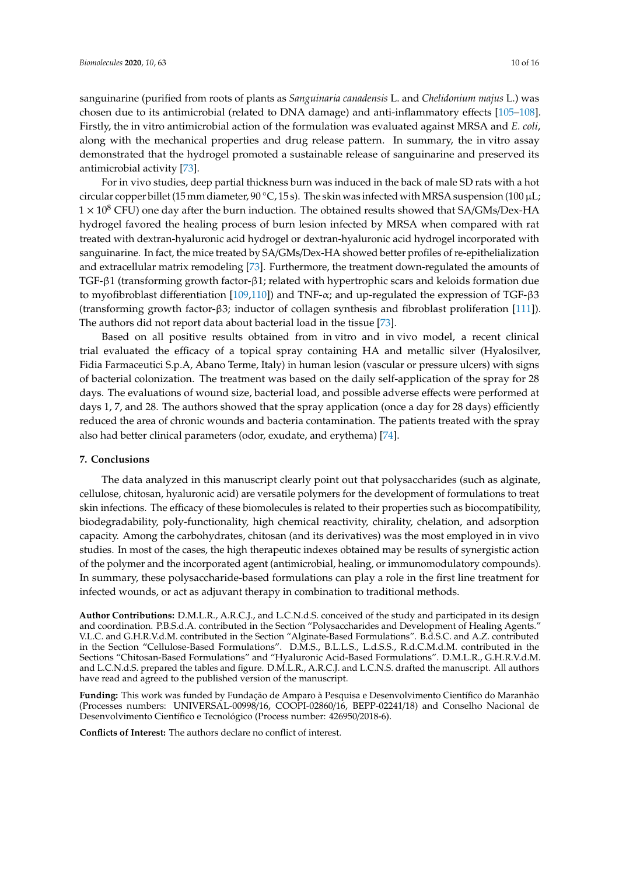sanguinarine (purified from roots of plants as *Sanguinaria canadensis* L. and *Chelidonium majus* L.) was chosen due to its antimicrobial (related to DNA damage) and anti-inflammatory effects [\[105–](#page-15-1)[108\]](#page-15-2). Firstly, the in vitro antimicrobial action of the formulation was evaluated against MRSA and *E. coli*, along with the mechanical properties and drug release pattern. In summary, the in vitro assay demonstrated that the hydrogel promoted a sustainable release of sanguinarine and preserved its antimicrobial activity [\[73\]](#page-13-7).

For in vivo studies, deep partial thickness burn was induced in the back of male SD rats with a hot circular copper billet (15 mm diameter,  $90 °C$ , 15 s). The skin was infected with MRSA suspension (100  $\mu$ L;  $1 \times 10^8$  CFU) one day after the burn induction. The obtained results showed that SA/GMs/Dex-HA hydrogel favored the healing process of burn lesion infected by MRSA when compared with rat treated with dextran-hyaluronic acid hydrogel or dextran-hyaluronic acid hydrogel incorporated with sanguinarine. In fact, the mice treated by SA/GMs/Dex-HA showed better profiles of re-epithelialization and extracellular matrix remodeling [\[73\]](#page-13-7). Furthermore, the treatment down-regulated the amounts of TGF-β1 (transforming growth factor-β1; related with hypertrophic scars and keloids formation due to myofibroblast differentiation [\[109,](#page-15-3)[110\]](#page-15-4)) and TNF-α; and up-regulated the expression of TGF-β3 (transforming growth factor-β3; inductor of collagen synthesis and fibroblast proliferation [\[111\]](#page-15-5)). The authors did not report data about bacterial load in the tissue [\[73\]](#page-13-7).

Based on all positive results obtained from in vitro and in vivo model, a recent clinical trial evaluated the efficacy of a topical spray containing HA and metallic silver (Hyalosilver, Fidia Farmaceutici S.p.A, Abano Terme, Italy) in human lesion (vascular or pressure ulcers) with signs of bacterial colonization. The treatment was based on the daily self-application of the spray for 28 days. The evaluations of wound size, bacterial load, and possible adverse effects were performed at days 1, 7, and 28. The authors showed that the spray application (once a day for 28 days) efficiently reduced the area of chronic wounds and bacteria contamination. The patients treated with the spray also had better clinical parameters (odor, exudate, and erythema) [\[74\]](#page-13-8).

## **7. Conclusions**

The data analyzed in this manuscript clearly point out that polysaccharides (such as alginate, cellulose, chitosan, hyaluronic acid) are versatile polymers for the development of formulations to treat skin infections. The efficacy of these biomolecules is related to their properties such as biocompatibility, biodegradability, poly-functionality, high chemical reactivity, chirality, chelation, and adsorption capacity. Among the carbohydrates, chitosan (and its derivatives) was the most employed in in vivo studies. In most of the cases, the high therapeutic indexes obtained may be results of synergistic action of the polymer and the incorporated agent (antimicrobial, healing, or immunomodulatory compounds). In summary, these polysaccharide-based formulations can play a role in the first line treatment for infected wounds, or act as adjuvant therapy in combination to traditional methods.

**Author Contributions:** D.M.L.R., A.R.C.J., and L.C.N.d.S. conceived of the study and participated in its design and coordination. P.B.S.d.A. contributed in the Section "Polysaccharides and Development of Healing Agents." V.L.C. and G.H.R.V.d.M. contributed in the Section "Alginate-Based Formulations". B.d.S.C. and A.Z. contributed in the Section "Cellulose-Based Formulations". D.M.S., B.L.L.S., L.d.S.S., R.d.C.M.d.M. contributed in the Sections "Chitosan-Based Formulations" and "Hyaluronic Acid-Based Formulations". D.M.L.R., G.H.R.V.d.M. and L.C.N.d.S. prepared the tables and figure. D.M.L.R., A.R.C.J. and L.C.N.S. drafted the manuscript. All authors have read and agreed to the published version of the manuscript.

**Funding:** This work was funded by Fundação de Amparo à Pesquisa e Desenvolvimento Científico do Maranhão (Processes numbers: UNIVERSAL-00998/16, COOPI-02860/16, BEPP-02241/18) and Conselho Nacional de Desenvolvimento Científico e Tecnológico (Process number: 426950/2018-6).

**Conflicts of Interest:** The authors declare no conflict of interest.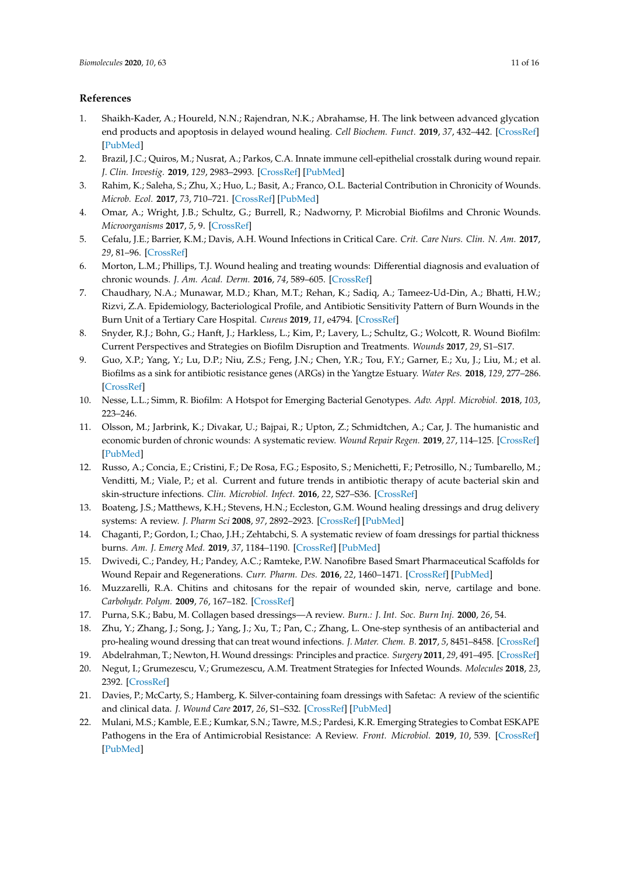# **References**

- <span id="page-10-0"></span>1. Shaikh-Kader, A.; Houreld, N.N.; Rajendran, N.K.; Abrahamse, H. The link between advanced glycation end products and apoptosis in delayed wound healing. *Cell Biochem. Funct.* **2019**, *37*, 432–442. [\[CrossRef\]](http://dx.doi.org/10.1002/cbf.3424) [\[PubMed\]](http://www.ncbi.nlm.nih.gov/pubmed/31318458)
- <span id="page-10-1"></span>2. Brazil, J.C.; Quiros, M.; Nusrat, A.; Parkos, C.A. Innate immune cell-epithelial crosstalk during wound repair. *J. Clin. Investig.* **2019**, *129*, 2983–2993. [\[CrossRef\]](http://dx.doi.org/10.1172/JCI124618) [\[PubMed\]](http://www.ncbi.nlm.nih.gov/pubmed/31329162)
- <span id="page-10-2"></span>3. Rahim, K.; Saleha, S.; Zhu, X.; Huo, L.; Basit, A.; Franco, O.L. Bacterial Contribution in Chronicity of Wounds. *Microb. Ecol.* **2017**, *73*, 710–721. [\[CrossRef\]](http://dx.doi.org/10.1007/s00248-016-0867-9) [\[PubMed\]](http://www.ncbi.nlm.nih.gov/pubmed/27742997)
- 4. Omar, A.; Wright, J.B.; Schultz, G.; Burrell, R.; Nadworny, P. Microbial Biofilms and Chronic Wounds. *Microorganisms* **2017**, *5*, 9. [\[CrossRef\]](http://dx.doi.org/10.3390/microorganisms5010009)
- <span id="page-10-17"></span><span id="page-10-3"></span>5. Cefalu, J.E.; Barrier, K.M.; Davis, A.H. Wound Infections in Critical Care. *Crit. Care Nurs. Clin. N. Am.* **2017**, *29*, 81–96. [\[CrossRef\]](http://dx.doi.org/10.1016/j.cnc.2016.09.009)
- <span id="page-10-4"></span>6. Morton, L.M.; Phillips, T.J. Wound healing and treating wounds: Differential diagnosis and evaluation of chronic wounds. *J. Am. Acad. Derm.* **2016**, *74*, 589–605. [\[CrossRef\]](http://dx.doi.org/10.1016/j.jaad.2015.08.068)
- <span id="page-10-5"></span>7. Chaudhary, N.A.; Munawar, M.D.; Khan, M.T.; Rehan, K.; Sadiq, A.; Tameez-Ud-Din, A.; Bhatti, H.W.; Rizvi, Z.A. Epidemiology, Bacteriological Profile, and Antibiotic Sensitivity Pattern of Burn Wounds in the Burn Unit of a Tertiary Care Hospital. *Cureus* **2019**, *11*, e4794. [\[CrossRef\]](http://dx.doi.org/10.7759/cureus.4794)
- <span id="page-10-6"></span>8. Snyder, R.J.; Bohn, G.; Hanft, J.; Harkless, L.; Kim, P.; Lavery, L.; Schultz, G.; Wolcott, R. Wound Biofilm: Current Perspectives and Strategies on Biofilm Disruption and Treatments. *Wounds* **2017**, *29*, S1–S17.
- <span id="page-10-7"></span>9. Guo, X.P.; Yang, Y.; Lu, D.P.; Niu, Z.S.; Feng, J.N.; Chen, Y.R.; Tou, F.Y.; Garner, E.; Xu, J.; Liu, M.; et al. Biofilms as a sink for antibiotic resistance genes (ARGs) in the Yangtze Estuary. *Water Res.* **2018**, *129*, 277–286. [\[CrossRef\]](http://dx.doi.org/10.1016/j.watres.2017.11.029)
- <span id="page-10-19"></span><span id="page-10-18"></span><span id="page-10-8"></span>10. Nesse, L.L.; Simm, R. Biofilm: A Hotspot for Emerging Bacterial Genotypes. *Adv. Appl. Microbiol.* **2018**, *103*, 223–246.
- <span id="page-10-9"></span>11. Olsson, M.; Jarbrink, K.; Divakar, U.; Bajpai, R.; Upton, Z.; Schmidtchen, A.; Car, J. The humanistic and economic burden of chronic wounds: A systematic review. *Wound Repair Regen.* **2019**, *27*, 114–125. [\[CrossRef\]](http://dx.doi.org/10.1111/wrr.12683) [\[PubMed\]](http://www.ncbi.nlm.nih.gov/pubmed/30362646)
- <span id="page-10-10"></span>12. Russo, A.; Concia, E.; Cristini, F.; De Rosa, F.G.; Esposito, S.; Menichetti, F.; Petrosillo, N.; Tumbarello, M.; Venditti, M.; Viale, P.; et al. Current and future trends in antibiotic therapy of acute bacterial skin and skin-structure infections. *Clin. Microbiol. Infect.* **2016**, *22*, S27–S36. [\[CrossRef\]](http://dx.doi.org/10.1016/S1198-743X(16)30095-7)
- <span id="page-10-11"></span>13. Boateng, J.S.; Matthews, K.H.; Stevens, H.N.; Eccleston, G.M. Wound healing dressings and drug delivery systems: A review. *J. Pharm Sci* **2008**, *97*, 2892–2923. [\[CrossRef\]](http://dx.doi.org/10.1002/jps.21210) [\[PubMed\]](http://www.ncbi.nlm.nih.gov/pubmed/17963217)
- 14. Chaganti, P.; Gordon, I.; Chao, J.H.; Zehtabchi, S. A systematic review of foam dressings for partial thickness burns. *Am. J. Emerg Med.* **2019**, *37*, 1184–1190. [\[CrossRef\]](http://dx.doi.org/10.1016/j.ajem.2019.04.014) [\[PubMed\]](http://www.ncbi.nlm.nih.gov/pubmed/31000315)
- 15. Dwivedi, C.; Pandey, H.; Pandey, A.C.; Ramteke, P.W. Nanofibre Based Smart Pharmaceutical Scaffolds for Wound Repair and Regenerations. *Curr. Pharm. Des.* **2016**, *22*, 1460–1471. [\[CrossRef\]](http://dx.doi.org/10.2174/1381612822666151215103553) [\[PubMed\]](http://www.ncbi.nlm.nih.gov/pubmed/26666999)
- 16. Muzzarelli, R.A. Chitins and chitosans for the repair of wounded skin, nerve, cartilage and bone. *Carbohydr. Polym.* **2009**, *76*, 167–182. [\[CrossRef\]](http://dx.doi.org/10.1016/j.carbpol.2008.11.002)
- 17. Purna, S.K.; Babu, M. Collagen based dressings—A review. *Burn.: J. Int. Soc. Burn Inj.* **2000**, *26*, 54.
- <span id="page-10-12"></span>18. Zhu, Y.; Zhang, J.; Song, J.; Yang, J.; Xu, T.; Pan, C.; Zhang, L. One-step synthesis of an antibacterial and pro-healing wound dressing that can treat wound infections. *J. Mater. Chem. B.* **2017**, *5*, 8451–8458. [\[CrossRef\]](http://dx.doi.org/10.1039/C7TB02477K)
- <span id="page-10-13"></span>19. Abdelrahman, T.; Newton, H. Wound dressings: Principles and practice. *Surgery* **2011**, *29*, 491–495. [\[CrossRef\]](http://dx.doi.org/10.1016/j.mpsur.2011.06.007)
- <span id="page-10-14"></span>20. Negut, I.; Grumezescu, V.; Grumezescu, A.M. Treatment Strategies for Infected Wounds. *Molecules* **2018**, *23*, 2392. [\[CrossRef\]](http://dx.doi.org/10.3390/molecules23092392)
- <span id="page-10-15"></span>21. Davies, P.; McCarty, S.; Hamberg, K. Silver-containing foam dressings with Safetac: A review of the scientific and clinical data. *J. Wound Care* **2017**, *26*, S1–S32. [\[CrossRef\]](http://dx.doi.org/10.12968/jowc.2017.26.Sup6a.S1) [\[PubMed\]](http://www.ncbi.nlm.nih.gov/pubmed/28594320)
- <span id="page-10-16"></span>22. Mulani, M.S.; Kamble, E.E.; Kumkar, S.N.; Tawre, M.S.; Pardesi, K.R. Emerging Strategies to Combat ESKAPE Pathogens in the Era of Antimicrobial Resistance: A Review. *Front. Microbiol.* **2019**, *10*, 539. [\[CrossRef\]](http://dx.doi.org/10.3389/fmicb.2019.00539) [\[PubMed\]](http://www.ncbi.nlm.nih.gov/pubmed/30988669)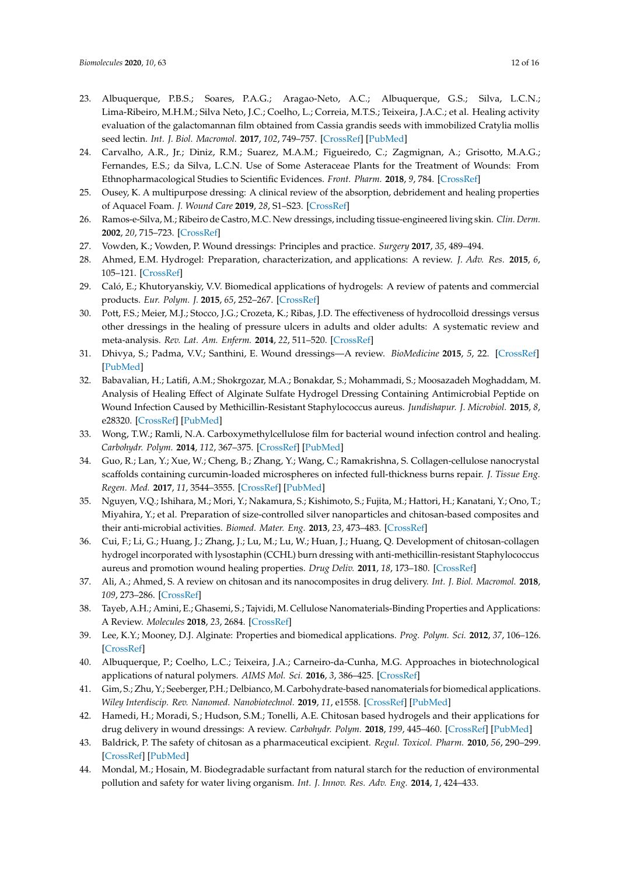- <span id="page-11-6"></span><span id="page-11-5"></span><span id="page-11-4"></span><span id="page-11-3"></span><span id="page-11-2"></span><span id="page-11-0"></span>23. Albuquerque, P.B.S.; Soares, P.A.G.; Aragao-Neto, A.C.; Albuquerque, G.S.; Silva, L.C.N.; Lima-Ribeiro, M.H.M.; Silva Neto, J.C.; Coelho, L.; Correia, M.T.S.; Teixeira, J.A.C.; et al. Healing activity evaluation of the galactomannan film obtained from Cassia grandis seeds with immobilized Cratylia mollis seed lectin. *Int. J. Biol. Macromol.* **2017**, *102*, 749–757. [\[CrossRef\]](http://dx.doi.org/10.1016/j.ijbiomac.2017.04.064) [\[PubMed\]](http://www.ncbi.nlm.nih.gov/pubmed/28433769)
- <span id="page-11-1"></span>24. Carvalho, A.R., Jr.; Diniz, R.M.; Suarez, M.A.M.; Figueiredo, C.; Zagmignan, A.; Grisotto, M.A.G.; Fernandes, E.S.; da Silva, L.C.N. Use of Some Asteraceae Plants for the Treatment of Wounds: From Ethnopharmacological Studies to Scientific Evidences. *Front. Pharm.* **2018**, *9*, 784. [\[CrossRef\]](http://dx.doi.org/10.3389/fphar.2018.00784)
- 25. Ousey, K. A multipurpose dressing: A clinical review of the absorption, debridement and healing properties of Aquacel Foam. *J. Wound Care* **2019**, *28*, S1–S23. [\[CrossRef\]](http://dx.doi.org/10.12968/jowc.2019.28.Sup9a.S1)
- 26. Ramos-e-Silva, M.; Ribeiro de Castro, M.C. New dressings, including tissue-engineered living skin. *Clin. Derm.* **2002**, *20*, 715–723. [\[CrossRef\]](http://dx.doi.org/10.1016/S0738-081X(02)00298-5)
- 27. Vowden, K.; Vowden, P. Wound dressings: Principles and practice. *Surgery* **2017**, *35*, 489–494.
- 28. Ahmed, E.M. Hydrogel: Preparation, characterization, and applications: A review. *J. Adv. Res.* **2015**, *6*, 105–121. [\[CrossRef\]](http://dx.doi.org/10.1016/j.jare.2013.07.006)
- 29. Caló, E.; Khutoryanskiy, V.V. Biomedical applications of hydrogels: A review of patents and commercial products. *Eur. Polym. J.* **2015**, *65*, 252–267. [\[CrossRef\]](http://dx.doi.org/10.1016/j.eurpolymj.2014.11.024)
- 30. Pott, F.S.; Meier, M.J.; Stocco, J.G.; Crozeta, K.; Ribas, J.D. The effectiveness of hydrocolloid dressings versus other dressings in the healing of pressure ulcers in adults and older adults: A systematic review and meta-analysis. *Rev. Lat. Am. Enferm.* **2014**, *22*, 511–520. [\[CrossRef\]](http://dx.doi.org/10.1590/0104-1169.3480.2445)
- 31. Dhivya, S.; Padma, V.V.; Santhini, E. Wound dressings—A review. *BioMedicine* **2015**, *5*, 22. [\[CrossRef\]](http://dx.doi.org/10.7603/s40681-015-0022-9) [\[PubMed\]](http://www.ncbi.nlm.nih.gov/pubmed/26615539)
- <span id="page-11-7"></span>32. Babavalian, H.; Latifi, A.M.; Shokrgozar, M.A.; Bonakdar, S.; Mohammadi, S.; Moosazadeh Moghaddam, M. Analysis of Healing Effect of Alginate Sulfate Hydrogel Dressing Containing Antimicrobial Peptide on Wound Infection Caused by Methicillin-Resistant Staphylococcus aureus. *Jundishapur. J. Microbiol.* **2015**, *8*, e28320. [\[CrossRef\]](http://dx.doi.org/10.5812/jjm.28320) [\[PubMed\]](http://www.ncbi.nlm.nih.gov/pubmed/26487923)
- <span id="page-11-17"></span>33. Wong, T.W.; Ramli, N.A. Carboxymethylcellulose film for bacterial wound infection control and healing. *Carbohydr. Polym.* **2014**, *112*, 367–375. [\[CrossRef\]](http://dx.doi.org/10.1016/j.carbpol.2014.06.002) [\[PubMed\]](http://www.ncbi.nlm.nih.gov/pubmed/25129756)
- <span id="page-11-18"></span>34. Guo, R.; Lan, Y.; Xue, W.; Cheng, B.; Zhang, Y.; Wang, C.; Ramakrishna, S. Collagen-cellulose nanocrystal scaffolds containing curcumin-loaded microspheres on infected full-thickness burns repair. *J. Tissue Eng. Regen. Med.* **2017**, *11*, 3544–3555. [\[CrossRef\]](http://dx.doi.org/10.1002/term.2272) [\[PubMed\]](http://www.ncbi.nlm.nih.gov/pubmed/28326684)
- <span id="page-11-19"></span>35. Nguyen, V.Q.; Ishihara, M.; Mori, Y.; Nakamura, S.; Kishimoto, S.; Fujita, M.; Hattori, H.; Kanatani, Y.; Ono, T.; Miyahira, Y.; et al. Preparation of size-controlled silver nanoparticles and chitosan-based composites and their anti-microbial activities. *Biomed. Mater. Eng.* **2013**, *23*, 473–483. [\[CrossRef\]](http://dx.doi.org/10.3233/BME-130772)
- <span id="page-11-8"></span>36. Cui, F.; Li, G.; Huang, J.; Zhang, J.; Lu, M.; Lu, W.; Huan, J.; Huang, Q. Development of chitosan-collagen hydrogel incorporated with lysostaphin (CCHL) burn dressing with anti-methicillin-resistant Staphylococcus aureus and promotion wound healing properties. *Drug Deliv.* **2011**, *18*, 173–180. [\[CrossRef\]](http://dx.doi.org/10.3109/10717544.2010.509363)
- <span id="page-11-9"></span>37. Ali, A.; Ahmed, S. A review on chitosan and its nanocomposites in drug delivery. *Int. J. Biol. Macromol.* **2018**, *109*, 273–286. [\[CrossRef\]](http://dx.doi.org/10.1016/j.ijbiomac.2017.12.078)
- <span id="page-11-13"></span>38. Tayeb, A.H.; Amini, E.; Ghasemi, S.; Tajvidi, M. Cellulose Nanomaterials-Binding Properties and Applications: A Review. *Molecules* **2018**, *23*, 2684. [\[CrossRef\]](http://dx.doi.org/10.3390/molecules23102684)
- <span id="page-11-10"></span>39. Lee, K.Y.; Mooney, D.J. Alginate: Properties and biomedical applications. *Prog. Polym. Sci.* **2012**, *37*, 106–126. [\[CrossRef\]](http://dx.doi.org/10.1016/j.progpolymsci.2011.06.003)
- <span id="page-11-11"></span>40. Albuquerque, P.; Coelho, L.C.; Teixeira, J.A.; Carneiro-da-Cunha, M.G. Approaches in biotechnological applications of natural polymers. *AIMS Mol. Sci.* **2016**, *3*, 386–425. [\[CrossRef\]](http://dx.doi.org/10.3934/molsci.2016.3.386)
- <span id="page-11-14"></span>41. Gim, S.; Zhu, Y.; Seeberger, P.H.; Delbianco, M. Carbohydrate-based nanomaterials for biomedical applications. *Wiley Interdiscip. Rev. Nanomed. Nanobiotechnol.* **2019**, *11*, e1558. [\[CrossRef\]](http://dx.doi.org/10.1002/wnan.1558) [\[PubMed\]](http://www.ncbi.nlm.nih.gov/pubmed/31063240)
- <span id="page-11-12"></span>42. Hamedi, H.; Moradi, S.; Hudson, S.M.; Tonelli, A.E. Chitosan based hydrogels and their applications for drug delivery in wound dressings: A review. *Carbohydr. Polym.* **2018**, *199*, 445–460. [\[CrossRef\]](http://dx.doi.org/10.1016/j.carbpol.2018.06.114) [\[PubMed\]](http://www.ncbi.nlm.nih.gov/pubmed/30143150)
- <span id="page-11-15"></span>43. Baldrick, P. The safety of chitosan as a pharmaceutical excipient. *Regul. Toxicol. Pharm.* **2010**, *56*, 290–299. [\[CrossRef\]](http://dx.doi.org/10.1016/j.yrtph.2009.09.015) [\[PubMed\]](http://www.ncbi.nlm.nih.gov/pubmed/19788905)
- <span id="page-11-16"></span>44. Mondal, M.; Hosain, M. Biodegradable surfactant from natural starch for the reduction of environmental pollution and safety for water living organism. *Int. J. Innov. Res. Adv. Eng.* **2014**, *1*, 424–433.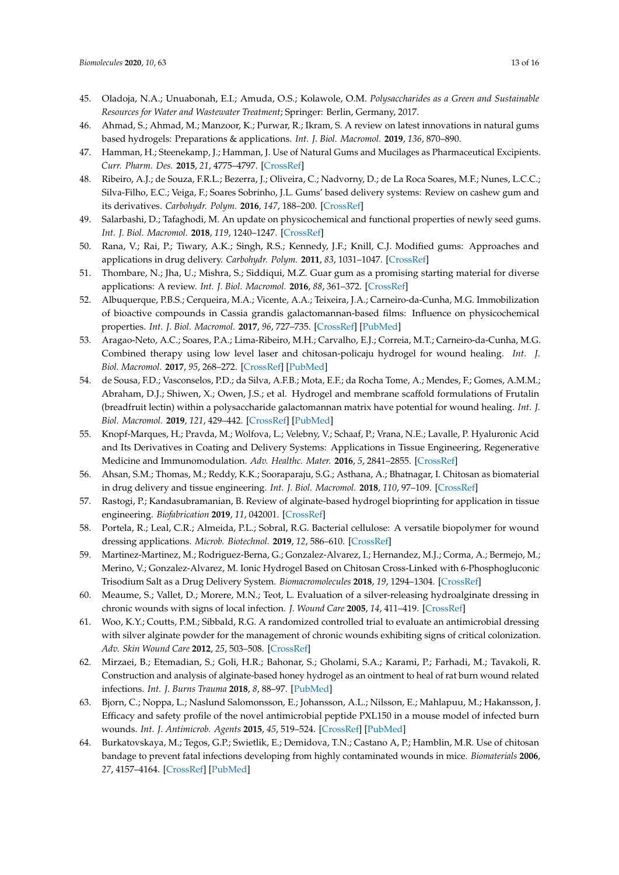- <span id="page-12-0"></span>45. Oladoja, N.A.; Unuabonah, E.I.; Amuda, O.S.; Kolawole, O.M. *Polysaccharides as a Green and Sustainable Resources for Water and Wastewater Treatment*; Springer: Berlin, Germany, 2017.
- <span id="page-12-1"></span>46. Ahmad, S.; Ahmad, M.; Manzoor, K.; Purwar, R.; Ikram, S. A review on latest innovations in natural gums based hydrogels: Preparations & applications. *Int. J. Biol. Macromol.* **2019**, *136*, 870–890.
- <span id="page-12-2"></span>47. Hamman, H.; Steenekamp, J.; Hamman, J. Use of Natural Gums and Mucilages as Pharmaceutical Excipients. *Curr. Pharm. Des.* **2015**, *21*, 4775–4797. [\[CrossRef\]](http://dx.doi.org/10.2174/1381612821666150820100524)
- <span id="page-12-3"></span>48. Ribeiro, A.J.; de Souza, F.R.L.; Bezerra, J.; Oliveira, C.; Nadvorny, D.; de La Roca Soares, M.F.; Nunes, L.C.C.; Silva-Filho, E.C.; Veiga, F.; Soares Sobrinho, J.L. Gums' based delivery systems: Review on cashew gum and its derivatives. *Carbohydr. Polym.* **2016**, *147*, 188–200. [\[CrossRef\]](http://dx.doi.org/10.1016/j.carbpol.2016.02.042)
- <span id="page-12-4"></span>49. Salarbashi, D.; Tafaghodi, M. An update on physicochemical and functional properties of newly seed gums. *Int. J. Biol. Macromol.* **2018**, *119*, 1240–1247. [\[CrossRef\]](http://dx.doi.org/10.1016/j.ijbiomac.2018.06.161)
- <span id="page-12-5"></span>50. Rana, V.; Rai, P.; Tiwary, A.K.; Singh, R.S.; Kennedy, J.F.; Knill, C.J. Modified gums: Approaches and applications in drug delivery. *Carbohydr. Polym.* **2011**, *83*, 1031–1047. [\[CrossRef\]](http://dx.doi.org/10.1016/j.carbpol.2010.09.010)
- <span id="page-12-6"></span>51. Thombare, N.; Jha, U.; Mishra, S.; Siddiqui, M.Z. Guar gum as a promising starting material for diverse applications: A review. *Int. J. Biol. Macromol.* **2016**, *88*, 361–372. [\[CrossRef\]](http://dx.doi.org/10.1016/j.ijbiomac.2016.04.001)
- <span id="page-12-7"></span>52. Albuquerque, P.B.S.; Cerqueira, M.A.; Vicente, A.A.; Teixeira, J.A.; Carneiro-da-Cunha, M.G. Immobilization of bioactive compounds in Cassia grandis galactomannan-based films: Influence on physicochemical properties. *Int. J. Biol. Macromol.* **2017**, *96*, 727–735. [\[CrossRef\]](http://dx.doi.org/10.1016/j.ijbiomac.2016.12.081) [\[PubMed\]](http://www.ncbi.nlm.nih.gov/pubmed/28049015)
- 53. Aragao-Neto, A.C.; Soares, P.A.; Lima-Ribeiro, M.H.; Carvalho, E.J.; Correia, M.T.; Carneiro-da-Cunha, M.G. Combined therapy using low level laser and chitosan-policaju hydrogel for wound healing. *Int. J. Biol. Macromol.* **2017**, *95*, 268–272. [\[CrossRef\]](http://dx.doi.org/10.1016/j.ijbiomac.2016.11.019) [\[PubMed\]](http://www.ncbi.nlm.nih.gov/pubmed/27851931)
- <span id="page-12-8"></span>54. de Sousa, F.D.; Vasconselos, P.D.; da Silva, A.F.B.; Mota, E.F.; da Rocha Tome, A.; Mendes, F.; Gomes, A.M.M.; Abraham, D.J.; Shiwen, X.; Owen, J.S.; et al. Hydrogel and membrane scaffold formulations of Frutalin (breadfruit lectin) within a polysaccharide galactomannan matrix have potential for wound healing. *Int. J. Biol. Macromol.* **2019**, *121*, 429–442. [\[CrossRef\]](http://dx.doi.org/10.1016/j.ijbiomac.2018.10.050) [\[PubMed\]](http://www.ncbi.nlm.nih.gov/pubmed/30326222)
- <span id="page-12-9"></span>55. Knopf-Marques, H.; Pravda, M.; Wolfova, L.; Velebny, V.; Schaaf, P.; Vrana, N.E.; Lavalle, P. Hyaluronic Acid and Its Derivatives in Coating and Delivery Systems: Applications in Tissue Engineering, Regenerative Medicine and Immunomodulation. *Adv. Healthc. Mater.* **2016**, *5*, 2841–2855. [\[CrossRef\]](http://dx.doi.org/10.1002/adhm.201600316)
- 56. Ahsan, S.M.; Thomas, M.; Reddy, K.K.; Sooraparaju, S.G.; Asthana, A.; Bhatnagar, I. Chitosan as biomaterial in drug delivery and tissue engineering. *Int. J. Biol. Macromol.* **2018**, *110*, 97–109. [\[CrossRef\]](http://dx.doi.org/10.1016/j.ijbiomac.2017.08.140)
- 57. Rastogi, P.; Kandasubramanian, B. Review of alginate-based hydrogel bioprinting for application in tissue engineering. *Biofabrication* **2019**, *11*, 042001. [\[CrossRef\]](http://dx.doi.org/10.1088/1758-5090/ab331e)
- 58. Portela, R.; Leal, C.R.; Almeida, P.L.; Sobral, R.G. Bacterial cellulose: A versatile biopolymer for wound dressing applications. *Microb. Biotechnol.* **2019**, *12*, 586–610. [\[CrossRef\]](http://dx.doi.org/10.1111/1751-7915.13392)
- <span id="page-12-10"></span>59. Martinez-Martinez, M.; Rodriguez-Berna, G.; Gonzalez-Alvarez, I.; Hernandez, M.J.; Corma, A.; Bermejo, M.; Merino, V.; Gonzalez-Alvarez, M. Ionic Hydrogel Based on Chitosan Cross-Linked with 6-Phosphogluconic Trisodium Salt as a Drug Delivery System. *Biomacromolecules* **2018**, *19*, 1294–1304. [\[CrossRef\]](http://dx.doi.org/10.1021/acs.biomac.8b00108)
- <span id="page-12-11"></span>60. Meaume, S.; Vallet, D.; Morere, M.N.; Teot, L. Evaluation of a silver-releasing hydroalginate dressing in chronic wounds with signs of local infection. *J. Wound Care* **2005**, *14*, 411–419. [\[CrossRef\]](http://dx.doi.org/10.12968/jowc.2005.14.9.26835)
- <span id="page-12-12"></span>61. Woo, K.Y.; Coutts, P.M.; Sibbald, R.G. A randomized controlled trial to evaluate an antimicrobial dressing with silver alginate powder for the management of chronic wounds exhibiting signs of critical colonization. *Adv. Skin Wound Care* **2012**, *25*, 503–508. [\[CrossRef\]](http://dx.doi.org/10.1097/01.ASW.0000422628.63148.4b)
- <span id="page-12-13"></span>62. Mirzaei, B.; Etemadian, S.; Goli, H.R.; Bahonar, S.; Gholami, S.A.; Karami, P.; Farhadi, M.; Tavakoli, R. Construction and analysis of alginate-based honey hydrogel as an ointment to heal of rat burn wound related infections. *Int. J. Burns Trauma* **2018**, *8*, 88–97. [\[PubMed\]](http://www.ncbi.nlm.nih.gov/pubmed/30245913)
- <span id="page-12-14"></span>63. Bjorn, C.; Noppa, L.; Naslund Salomonsson, E.; Johansson, A.L.; Nilsson, E.; Mahlapuu, M.; Hakansson, J. Efficacy and safety profile of the novel antimicrobial peptide PXL150 in a mouse model of infected burn wounds. *Int. J. Antimicrob. Agents* **2015**, *45*, 519–524. [\[CrossRef\]](http://dx.doi.org/10.1016/j.ijantimicag.2014.12.015) [\[PubMed\]](http://www.ncbi.nlm.nih.gov/pubmed/25649371)
- <span id="page-12-15"></span>64. Burkatovskaya, M.; Tegos, G.P.; Swietlik, E.; Demidova, T.N.; Castano A, P.; Hamblin, M.R. Use of chitosan bandage to prevent fatal infections developing from highly contaminated wounds in mice. *Biomaterials* **2006**, *27*, 4157–4164. [\[CrossRef\]](http://dx.doi.org/10.1016/j.biomaterials.2006.03.028) [\[PubMed\]](http://www.ncbi.nlm.nih.gov/pubmed/16616364)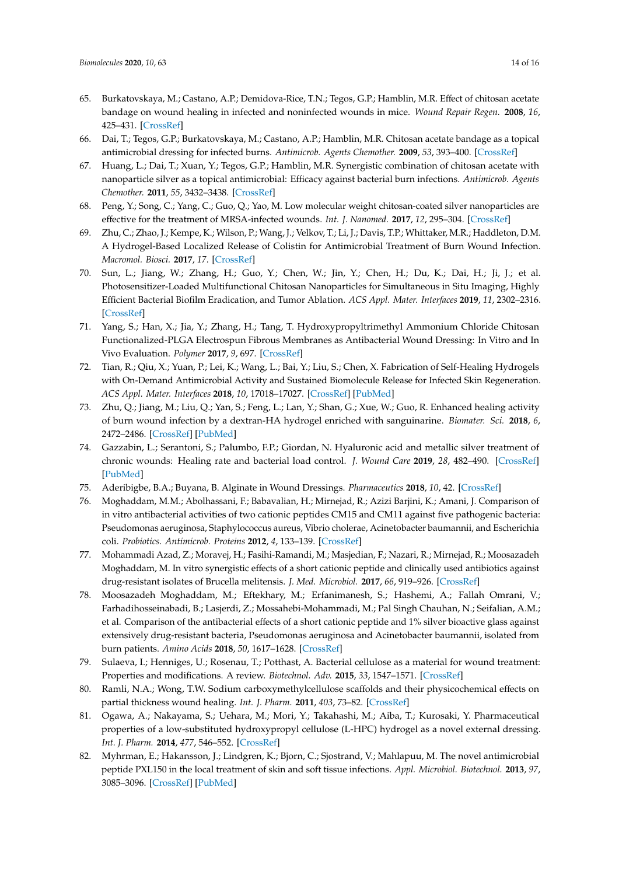- <span id="page-13-16"></span>65. Burkatovskaya, M.; Castano, A.P.; Demidova-Rice, T.N.; Tegos, G.P.; Hamblin, M.R. Effect of chitosan acetate bandage on wound healing in infected and noninfected wounds in mice. *Wound Repair Regen.* **2008**, *16*, 425–431. [\[CrossRef\]](http://dx.doi.org/10.1111/j.1524-475X.2008.00382.x)
- <span id="page-13-0"></span>66. Dai, T.; Tegos, G.P.; Burkatovskaya, M.; Castano, A.P.; Hamblin, M.R. Chitosan acetate bandage as a topical antimicrobial dressing for infected burns. *Antimicrob. Agents Chemother.* **2009**, *53*, 393–400. [\[CrossRef\]](http://dx.doi.org/10.1128/AAC.00760-08)
- <span id="page-13-1"></span>67. Huang, L.; Dai, T.; Xuan, Y.; Tegos, G.P.; Hamblin, M.R. Synergistic combination of chitosan acetate with nanoparticle silver as a topical antimicrobial: Efficacy against bacterial burn infections. *Antimicrob. Agents Chemother.* **2011**, *55*, 3432–3438. [\[CrossRef\]](http://dx.doi.org/10.1128/AAC.01803-10)
- <span id="page-13-2"></span>68. Peng, Y.; Song, C.; Yang, C.; Guo, Q.; Yao, M. Low molecular weight chitosan-coated silver nanoparticles are effective for the treatment of MRSA-infected wounds. *Int. J. Nanomed.* **2017**, *12*, 295–304. [\[CrossRef\]](http://dx.doi.org/10.2147/IJN.S122357)
- <span id="page-13-3"></span>69. Zhu, C.; Zhao, J.; Kempe, K.; Wilson, P.; Wang, J.; Velkov, T.; Li, J.; Davis, T.P.; Whittaker, M.R.; Haddleton, D.M. A Hydrogel-Based Localized Release of Colistin for Antimicrobial Treatment of Burn Wound Infection. *Macromol. Biosci.* **2017**, *17*. [\[CrossRef\]](http://dx.doi.org/10.1002/mabi.201600320)
- <span id="page-13-4"></span>70. Sun, L.; Jiang, W.; Zhang, H.; Guo, Y.; Chen, W.; Jin, Y.; Chen, H.; Du, K.; Dai, H.; Ji, J.; et al. Photosensitizer-Loaded Multifunctional Chitosan Nanoparticles for Simultaneous in Situ Imaging, Highly Efficient Bacterial Biofilm Eradication, and Tumor Ablation. *ACS Appl. Mater. Interfaces* **2019**, *11*, 2302–2316. [\[CrossRef\]](http://dx.doi.org/10.1021/acsami.8b19522)
- <span id="page-13-5"></span>71. Yang, S.; Han, X.; Jia, Y.; Zhang, H.; Tang, T. Hydroxypropyltrimethyl Ammonium Chloride Chitosan Functionalized-PLGA Electrospun Fibrous Membranes as Antibacterial Wound Dressing: In Vitro and In Vivo Evaluation. *Polymer* **2017**, *9*, 697. [\[CrossRef\]](http://dx.doi.org/10.3390/polym9120697)
- <span id="page-13-6"></span>72. Tian, R.; Qiu, X.; Yuan, P.; Lei, K.; Wang, L.; Bai, Y.; Liu, S.; Chen, X. Fabrication of Self-Healing Hydrogels with On-Demand Antimicrobial Activity and Sustained Biomolecule Release for Infected Skin Regeneration. *ACS Appl. Mater. Interfaces* **2018**, *10*, 17018–17027. [\[CrossRef\]](http://dx.doi.org/10.1021/acsami.8b01740) [\[PubMed\]](http://www.ncbi.nlm.nih.gov/pubmed/29693373)
- <span id="page-13-7"></span>73. Zhu, Q.; Jiang, M.; Liu, Q.; Yan, S.; Feng, L.; Lan, Y.; Shan, G.; Xue, W.; Guo, R. Enhanced healing activity of burn wound infection by a dextran-HA hydrogel enriched with sanguinarine. *Biomater. Sci.* **2018**, *6*, 2472–2486. [\[CrossRef\]](http://dx.doi.org/10.1039/C8BM00478A) [\[PubMed\]](http://www.ncbi.nlm.nih.gov/pubmed/30066700)
- <span id="page-13-8"></span>74. Gazzabin, L.; Serantoni, S.; Palumbo, F.P.; Giordan, N. Hyaluronic acid and metallic silver treatment of chronic wounds: Healing rate and bacterial load control. *J. Wound Care* **2019**, *28*, 482–490. [\[CrossRef\]](http://dx.doi.org/10.12968/jowc.2019.28.7.482) [\[PubMed\]](http://www.ncbi.nlm.nih.gov/pubmed/31295090)
- <span id="page-13-9"></span>75. Aderibigbe, B.A.; Buyana, B. Alginate in Wound Dressings. *Pharmaceutics* **2018**, *10*, 42. [\[CrossRef\]](http://dx.doi.org/10.3390/pharmaceutics10020042)
- <span id="page-13-10"></span>76. Moghaddam, M.M.; Abolhassani, F.; Babavalian, H.; Mirnejad, R.; Azizi Barjini, K.; Amani, J. Comparison of in vitro antibacterial activities of two cationic peptides CM15 and CM11 against five pathogenic bacteria: Pseudomonas aeruginosa, Staphylococcus aureus, Vibrio cholerae, Acinetobacter baumannii, and Escherichia coli. *Probiotics. Antimicrob. Proteins* **2012**, *4*, 133–139. [\[CrossRef\]](http://dx.doi.org/10.1007/s12602-012-9098-7)
- 77. Mohammadi Azad, Z.; Moravej, H.; Fasihi-Ramandi, M.; Masjedian, F.; Nazari, R.; Mirnejad, R.; Moosazadeh Moghaddam, M. In vitro synergistic effects of a short cationic peptide and clinically used antibiotics against drug-resistant isolates of Brucella melitensis. *J. Med. Microbiol.* **2017**, *66*, 919–926. [\[CrossRef\]](http://dx.doi.org/10.1099/jmm.0.000524)
- <span id="page-13-11"></span>78. Moosazadeh Moghaddam, M.; Eftekhary, M.; Erfanimanesh, S.; Hashemi, A.; Fallah Omrani, V.; Farhadihosseinabadi, B.; Lasjerdi, Z.; Mossahebi-Mohammadi, M.; Pal Singh Chauhan, N.; Seifalian, A.M.; et al. Comparison of the antibacterial effects of a short cationic peptide and 1% silver bioactive glass against extensively drug-resistant bacteria, Pseudomonas aeruginosa and Acinetobacter baumannii, isolated from burn patients. *Amino Acids* **2018**, *50*, 1617–1628. [\[CrossRef\]](http://dx.doi.org/10.1007/s00726-018-2638-z)
- <span id="page-13-12"></span>79. Sulaeva, I.; Henniges, U.; Rosenau, T.; Potthast, A. Bacterial cellulose as a material for wound treatment: Properties and modifications. A review. *Biotechnol. Adv.* **2015**, *33*, 1547–1571. [\[CrossRef\]](http://dx.doi.org/10.1016/j.biotechadv.2015.07.009)
- <span id="page-13-13"></span>80. Ramli, N.A.; Wong, T.W. Sodium carboxymethylcellulose scaffolds and their physicochemical effects on partial thickness wound healing. *Int. J. Pharm.* **2011**, *403*, 73–82. [\[CrossRef\]](http://dx.doi.org/10.1016/j.ijpharm.2010.10.023)
- <span id="page-13-14"></span>81. Ogawa, A.; Nakayama, S.; Uehara, M.; Mori, Y.; Takahashi, M.; Aiba, T.; Kurosaki, Y. Pharmaceutical properties of a low-substituted hydroxypropyl cellulose (L-HPC) hydrogel as a novel external dressing. *Int. J. Pharm.* **2014**, *477*, 546–552. [\[CrossRef\]](http://dx.doi.org/10.1016/j.ijpharm.2014.10.043)
- <span id="page-13-15"></span>82. Myhrman, E.; Hakansson, J.; Lindgren, K.; Bjorn, C.; Sjostrand, V.; Mahlapuu, M. The novel antimicrobial peptide PXL150 in the local treatment of skin and soft tissue infections. *Appl. Microbiol. Biotechnol.* **2013**, *97*, 3085–3096. [\[CrossRef\]](http://dx.doi.org/10.1007/s00253-012-4439-8) [\[PubMed\]](http://www.ncbi.nlm.nih.gov/pubmed/23053090)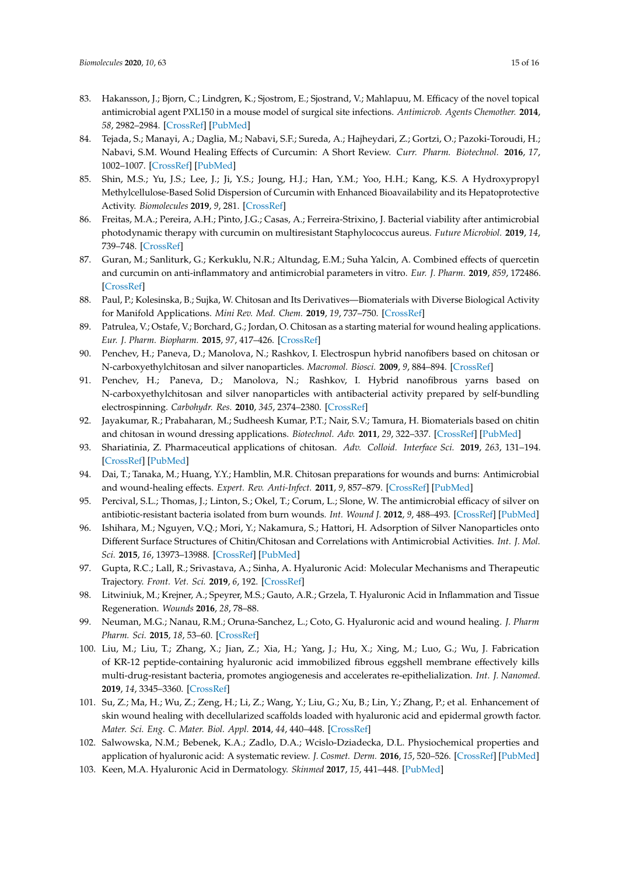- <span id="page-14-0"></span>83. Hakansson, J.; Bjorn, C.; Lindgren, K.; Sjostrom, E.; Sjostrand, V.; Mahlapuu, M. Efficacy of the novel topical antimicrobial agent PXL150 in a mouse model of surgical site infections. *Antimicrob. Agents Chemother.* **2014**, *58*, 2982–2984. [\[CrossRef\]](http://dx.doi.org/10.1128/AAC.00143-14) [\[PubMed\]](http://www.ncbi.nlm.nih.gov/pubmed/24590479)
- <span id="page-14-1"></span>84. Tejada, S.; Manayi, A.; Daglia, M.; Nabavi, S.F.; Sureda, A.; Hajheydari, Z.; Gortzi, O.; Pazoki-Toroudi, H.; Nabavi, S.M. Wound Healing Effects of Curcumin: A Short Review. *Curr. Pharm. Biotechnol.* **2016**, *17*, 1002–1007. [\[CrossRef\]](http://dx.doi.org/10.2174/1389201017666160721123109) [\[PubMed\]](http://www.ncbi.nlm.nih.gov/pubmed/27640646)
- 85. Shin, M.S.; Yu, J.S.; Lee, J.; Ji, Y.S.; Joung, H.J.; Han, Y.M.; Yoo, H.H.; Kang, K.S. A Hydroxypropyl Methylcellulose-Based Solid Dispersion of Curcumin with Enhanced Bioavailability and its Hepatoprotective Activity. *Biomolecules* **2019**, *9*, 281. [\[CrossRef\]](http://dx.doi.org/10.3390/biom9070281)
- 86. Freitas, M.A.; Pereira, A.H.; Pinto, J.G.; Casas, A.; Ferreira-Strixino, J. Bacterial viability after antimicrobial photodynamic therapy with curcumin on multiresistant Staphylococcus aureus. *Future Microbiol.* **2019**, *14*, 739–748. [\[CrossRef\]](http://dx.doi.org/10.2217/fmb-2019-0042)
- <span id="page-14-2"></span>87. Guran, M.; Sanliturk, G.; Kerkuklu, N.R.; Altundag, E.M.; Suha Yalcin, A. Combined effects of quercetin and curcumin on anti-inflammatory and antimicrobial parameters in vitro. *Eur. J. Pharm.* **2019**, *859*, 172486. [\[CrossRef\]](http://dx.doi.org/10.1016/j.ejphar.2019.172486)
- <span id="page-14-3"></span>88. Paul, P.; Kolesinska, B.; Sujka, W. Chitosan and Its Derivatives—Biomaterials with Diverse Biological Activity for Manifold Applications. *Mini Rev. Med. Chem.* **2019**, *19*, 737–750. [\[CrossRef\]](http://dx.doi.org/10.2174/1389557519666190112142735)
- <span id="page-14-4"></span>89. Patrulea, V.; Ostafe, V.; Borchard, G.; Jordan, O. Chitosan as a starting material for wound healing applications. *Eur. J. Pharm. Biopharm.* **2015**, *97*, 417–426. [\[CrossRef\]](http://dx.doi.org/10.1016/j.ejpb.2015.08.004)
- <span id="page-14-5"></span>90. Penchev, H.; Paneva, D.; Manolova, N.; Rashkov, I. Electrospun hybrid nanofibers based on chitosan or N-carboxyethylchitosan and silver nanoparticles. *Macromol. Biosci.* **2009**, *9*, 884–894. [\[CrossRef\]](http://dx.doi.org/10.1002/mabi.200900003)
- <span id="page-14-6"></span>91. Penchev, H.; Paneva, D.; Manolova, N.; Rashkov, I. Hybrid nanofibrous yarns based on N-carboxyethylchitosan and silver nanoparticles with antibacterial activity prepared by self-bundling electrospinning. *Carbohydr. Res.* **2010**, *345*, 2374–2380. [\[CrossRef\]](http://dx.doi.org/10.1016/j.carres.2010.08.014)
- <span id="page-14-7"></span>92. Jayakumar, R.; Prabaharan, M.; Sudheesh Kumar, P.T.; Nair, S.V.; Tamura, H. Biomaterials based on chitin and chitosan in wound dressing applications. *Biotechnol. Adv.* **2011**, *29*, 322–337. [\[CrossRef\]](http://dx.doi.org/10.1016/j.biotechadv.2011.01.005) [\[PubMed\]](http://www.ncbi.nlm.nih.gov/pubmed/21262336)
- <span id="page-14-8"></span>93. Shariatinia, Z. Pharmaceutical applications of chitosan. *Adv. Colloid. Interface Sci.* **2019**, *263*, 131–194. [\[CrossRef\]](http://dx.doi.org/10.1016/j.cis.2018.11.008) [\[PubMed\]](http://www.ncbi.nlm.nih.gov/pubmed/30530176)
- <span id="page-14-9"></span>94. Dai, T.; Tanaka, M.; Huang, Y.Y.; Hamblin, M.R. Chitosan preparations for wounds and burns: Antimicrobial and wound-healing effects. *Expert. Rev. Anti-Infect.* **2011**, *9*, 857–879. [\[CrossRef\]](http://dx.doi.org/10.1586/eri.11.59) [\[PubMed\]](http://www.ncbi.nlm.nih.gov/pubmed/21810057)
- <span id="page-14-10"></span>95. Percival, S.L.; Thomas, J.; Linton, S.; Okel, T.; Corum, L.; Slone, W. The antimicrobial efficacy of silver on antibiotic-resistant bacteria isolated from burn wounds. *Int. Wound J.* **2012**, *9*, 488–493. [\[CrossRef\]](http://dx.doi.org/10.1111/j.1742-481X.2011.00903.x) [\[PubMed\]](http://www.ncbi.nlm.nih.gov/pubmed/22182219)
- <span id="page-14-11"></span>96. Ishihara, M.; Nguyen, V.Q.; Mori, Y.; Nakamura, S.; Hattori, H. Adsorption of Silver Nanoparticles onto Different Surface Structures of Chitin/Chitosan and Correlations with Antimicrobial Activities. *Int. J. Mol. Sci.* **2015**, *16*, 13973–13988. [\[CrossRef\]](http://dx.doi.org/10.3390/ijms160613973) [\[PubMed\]](http://www.ncbi.nlm.nih.gov/pubmed/26096004)
- <span id="page-14-12"></span>97. Gupta, R.C.; Lall, R.; Srivastava, A.; Sinha, A. Hyaluronic Acid: Molecular Mechanisms and Therapeutic Trajectory. *Front. Vet. Sci.* **2019**, *6*, 192. [\[CrossRef\]](http://dx.doi.org/10.3389/fvets.2019.00192)
- 98. Litwiniuk, M.; Krejner, A.; Speyrer, M.S.; Gauto, A.R.; Grzela, T. Hyaluronic Acid in Inflammation and Tissue Regeneration. *Wounds* **2016**, *28*, 78–88.
- 99. Neuman, M.G.; Nanau, R.M.; Oruna-Sanchez, L.; Coto, G. Hyaluronic acid and wound healing. *J. Pharm Pharm. Sci.* **2015**, *18*, 53–60. [\[CrossRef\]](http://dx.doi.org/10.18433/J3K89D)
- <span id="page-14-13"></span>100. Liu, M.; Liu, T.; Zhang, X.; Jian, Z.; Xia, H.; Yang, J.; Hu, X.; Xing, M.; Luo, G.; Wu, J. Fabrication of KR-12 peptide-containing hyaluronic acid immobilized fibrous eggshell membrane effectively kills multi-drug-resistant bacteria, promotes angiogenesis and accelerates re-epithelialization. *Int. J. Nanomed.* **2019**, *14*, 3345–3360. [\[CrossRef\]](http://dx.doi.org/10.2147/IJN.S199618)
- <span id="page-14-14"></span>101. Su, Z.; Ma, H.; Wu, Z.; Zeng, H.; Li, Z.; Wang, Y.; Liu, G.; Xu, B.; Lin, Y.; Zhang, P.; et al. Enhancement of skin wound healing with decellularized scaffolds loaded with hyaluronic acid and epidermal growth factor. *Mater. Sci. Eng. C. Mater. Biol. Appl.* **2014**, *44*, 440–448. [\[CrossRef\]](http://dx.doi.org/10.1016/j.msec.2014.07.039)
- 102. Salwowska, N.M.; Bebenek, K.A.; Zadlo, D.A.; Wcislo-Dziadecka, D.L. Physiochemical properties and application of hyaluronic acid: A systematic review. *J. Cosmet. Derm.* **2016**, *15*, 520–526. [\[CrossRef\]](http://dx.doi.org/10.1111/jocd.12237) [\[PubMed\]](http://www.ncbi.nlm.nih.gov/pubmed/27324942)
- <span id="page-14-15"></span>103. Keen, M.A. Hyaluronic Acid in Dermatology. *Skinmed* **2017**, *15*, 441–448. [\[PubMed\]](http://www.ncbi.nlm.nih.gov/pubmed/29282181)